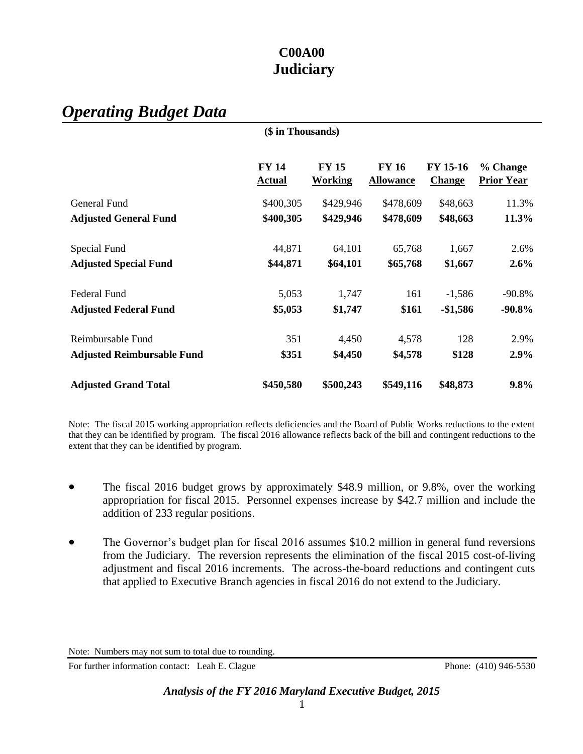# *Operating Budget Data*

|                                   | (\$ in Thousands)             |                         |                                  |                           |                               |
|-----------------------------------|-------------------------------|-------------------------|----------------------------------|---------------------------|-------------------------------|
|                                   | <b>FY 14</b><br><b>Actual</b> | <b>FY 15</b><br>Working | <b>FY 16</b><br><b>Allowance</b> | FY 15-16<br><b>Change</b> | % Change<br><b>Prior Year</b> |
| General Fund                      | \$400,305                     | \$429,946               | \$478,609                        | \$48,663                  | 11.3%                         |
| <b>Adjusted General Fund</b>      | \$400,305                     | \$429,946               | \$478,609                        | \$48,663                  | 11.3%                         |
| Special Fund                      | 44,871                        | 64,101                  | 65,768                           | 1,667                     | 2.6%                          |
| <b>Adjusted Special Fund</b>      | \$44,871                      | \$64,101                | \$65,768                         | \$1,667                   | $2.6\%$                       |
| <b>Federal Fund</b>               | 5,053                         | 1,747                   | 161                              | $-1,586$                  | $-90.8%$                      |
| <b>Adjusted Federal Fund</b>      | \$5,053                       | \$1,747                 | \$161                            | $-$1,586$                 | $-90.8\%$                     |
| Reimbursable Fund                 | 351                           | 4,450                   | 4,578                            | 128                       | 2.9%                          |
| <b>Adjusted Reimbursable Fund</b> | \$351                         | \$4,450                 | \$4,578                          | \$128                     | 2.9%                          |
| <b>Adjusted Grand Total</b>       | \$450,580                     | \$500,243               | \$549,116                        | \$48,873                  | 9.8%                          |

Note: The fiscal 2015 working appropriation reflects deficiencies and the Board of Public Works reductions to the extent that they can be identified by program. The fiscal 2016 allowance reflects back of the bill and contingent reductions to the extent that they can be identified by program.

- The fiscal 2016 budget grows by approximately \$48.9 million, or 9.8%, over the working appropriation for fiscal 2015. Personnel expenses increase by \$42.7 million and include the addition of 233 regular positions.
- The Governor's budget plan for fiscal 2016 assumes \$10.2 million in general fund reversions from the Judiciary. The reversion represents the elimination of the fiscal 2015 cost-of-living adjustment and fiscal 2016 increments. The across-the-board reductions and contingent cuts that applied to Executive Branch agencies in fiscal 2016 do not extend to the Judiciary.

For further information contact: Leah E. Clague Phone: (410) 946-5530

Note: Numbers may not sum to total due to rounding.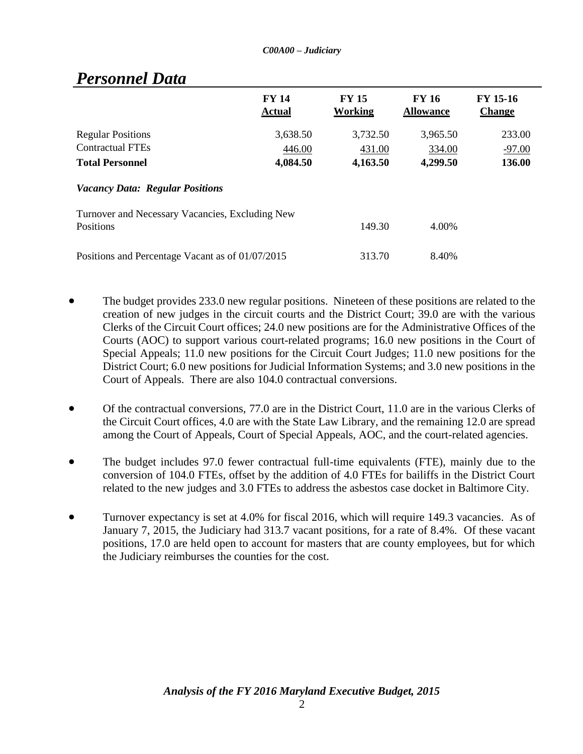|                                                                               | <b>FY 14</b><br><b>Actual</b>  | <b>FY 15</b><br>Working        | <b>FY 16</b><br><b>Allowance</b> | <b>FY 15-16</b><br><b>Change</b> |
|-------------------------------------------------------------------------------|--------------------------------|--------------------------------|----------------------------------|----------------------------------|
| <b>Regular Positions</b><br><b>Contractual FTEs</b><br><b>Total Personnel</b> | 3,638.50<br>446.00<br>4,084.50 | 3,732.50<br>431.00<br>4,163.50 | 3,965.50<br>334.00<br>4,299.50   | 233.00<br>$-97.00$<br>136.00     |
| <b>Vacancy Data: Regular Positions</b>                                        |                                |                                |                                  |                                  |
| Turnover and Necessary Vacancies, Excluding New<br>Positions                  |                                | 149.30                         | 4.00%                            |                                  |
| Positions and Percentage Vacant as of 01/07/2015                              |                                | 313.70                         | 8.40%                            |                                  |

# *Personnel Data*

- The budget provides 233.0 new regular positions. Nineteen of these positions are related to the creation of new judges in the circuit courts and the District Court; 39.0 are with the various Clerks of the Circuit Court offices; 24.0 new positions are for the Administrative Offices of the Courts (AOC) to support various court-related programs; 16.0 new positions in the Court of Special Appeals; 11.0 new positions for the Circuit Court Judges; 11.0 new positions for the District Court; 6.0 new positions for Judicial Information Systems; and 3.0 new positions in the Court of Appeals. There are also 104.0 contractual conversions.
- Of the contractual conversions, 77.0 are in the District Court, 11.0 are in the various Clerks of the Circuit Court offices, 4.0 are with the State Law Library, and the remaining 12.0 are spread among the Court of Appeals, Court of Special Appeals, AOC, and the court-related agencies.
- The budget includes 97.0 fewer contractual full-time equivalents (FTE), mainly due to the conversion of 104.0 FTEs, offset by the addition of 4.0 FTEs for bailiffs in the District Court related to the new judges and 3.0 FTEs to address the asbestos case docket in Baltimore City.
- Turnover expectancy is set at 4.0% for fiscal 2016, which will require 149.3 vacancies. As of January 7, 2015, the Judiciary had 313.7 vacant positions, for a rate of 8.4%. Of these vacant positions, 17.0 are held open to account for masters that are county employees, but for which the Judiciary reimburses the counties for the cost.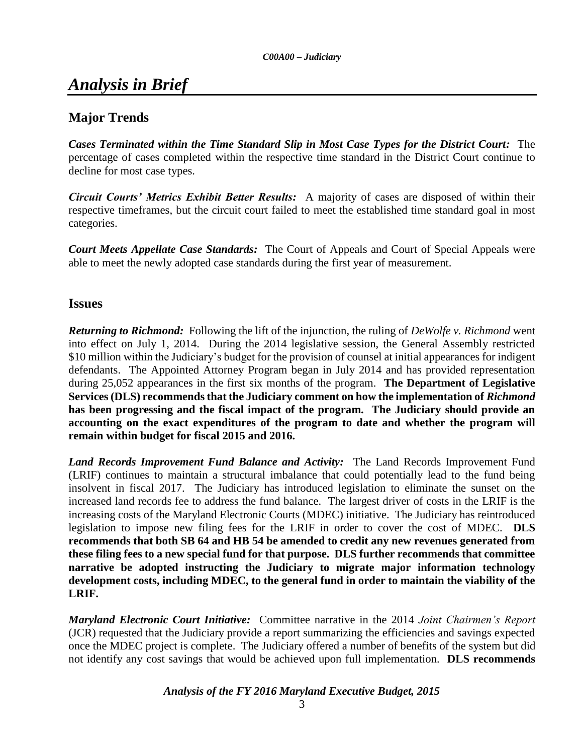# *Analysis in Brief*

# **Major Trends**

*Cases Terminated within the Time Standard Slip in Most Case Types for the District Court:* The percentage of cases completed within the respective time standard in the District Court continue to decline for most case types.

*Circuit Courts' Metrics Exhibit Better Results:* A majority of cases are disposed of within their respective timeframes, but the circuit court failed to meet the established time standard goal in most categories.

*Court Meets Appellate Case Standards:* The Court of Appeals and Court of Special Appeals were able to meet the newly adopted case standards during the first year of measurement.

### **Issues**

*Returning to Richmond:* Following the lift of the injunction, the ruling of *DeWolfe v. Richmond* went into effect on July 1, 2014. During the 2014 legislative session, the General Assembly restricted \$10 million within the Judiciary's budget for the provision of counsel at initial appearances for indigent defendants. The Appointed Attorney Program began in July 2014 and has provided representation during 25,052 appearances in the first six months of the program. **The Department of Legislative Services (DLS) recommends that the Judiciary comment on how the implementation of** *Richmond* **has been progressing and the fiscal impact of the program. The Judiciary should provide an accounting on the exact expenditures of the program to date and whether the program will remain within budget for fiscal 2015 and 2016.**

*Land Records Improvement Fund Balance and Activity:* The Land Records Improvement Fund (LRIF) continues to maintain a structural imbalance that could potentially lead to the fund being insolvent in fiscal 2017. The Judiciary has introduced legislation to eliminate the sunset on the increased land records fee to address the fund balance. The largest driver of costs in the LRIF is the increasing costs of the Maryland Electronic Courts (MDEC) initiative. The Judiciary has reintroduced legislation to impose new filing fees for the LRIF in order to cover the cost of MDEC. **DLS recommends that both SB 64 and HB 54 be amended to credit any new revenues generated from these filing fees to a new special fund for that purpose. DLS further recommends that committee narrative be adopted instructing the Judiciary to migrate major information technology development costs, including MDEC, to the general fund in order to maintain the viability of the LRIF.** 

*Maryland Electronic Court Initiative:* Committee narrative in the 2014 *Joint Chairmen's Report* (JCR) requested that the Judiciary provide a report summarizing the efficiencies and savings expected once the MDEC project is complete. The Judiciary offered a number of benefits of the system but did not identify any cost savings that would be achieved upon full implementation. **DLS recommends**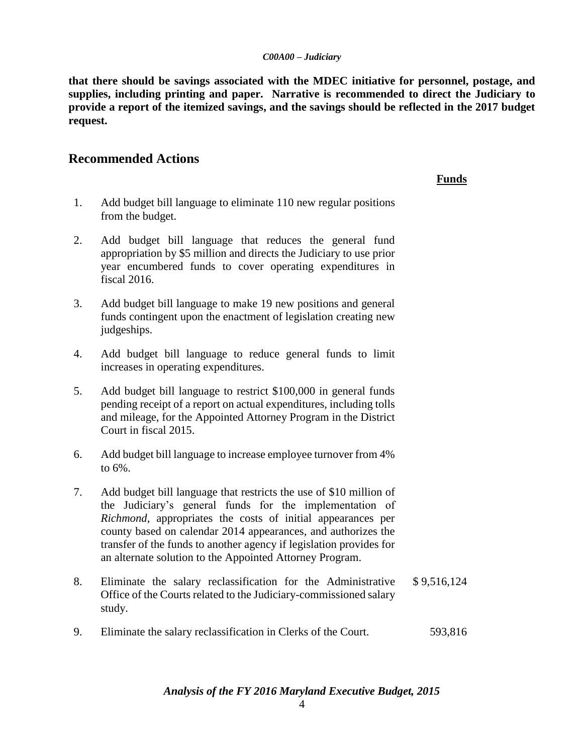**that there should be savings associated with the MDEC initiative for personnel, postage, and supplies, including printing and paper. Narrative is recommended to direct the Judiciary to provide a report of the itemized savings, and the savings should be reflected in the 2017 budget request.** 

#### **Recommended Actions**

#### **Funds**

- 1. Add budget bill language to eliminate 110 new regular positions from the budget.
- 2. Add budget bill language that reduces the general fund appropriation by \$5 million and directs the Judiciary to use prior year encumbered funds to cover operating expenditures in fiscal 2016.
- 3. Add budget bill language to make 19 new positions and general funds contingent upon the enactment of legislation creating new judgeships.
- 4. Add budget bill language to reduce general funds to limit increases in operating expenditures.
- 5. Add budget bill language to restrict \$100,000 in general funds pending receipt of a report on actual expenditures, including tolls and mileage, for the Appointed Attorney Program in the District Court in fiscal 2015.
- 6. Add budget bill language to increase employee turnover from 4% to 6%.
- 7. Add budget bill language that restricts the use of \$10 million of the Judiciary's general funds for the implementation of *Richmond*, appropriates the costs of initial appearances per county based on calendar 2014 appearances, and authorizes the transfer of the funds to another agency if legislation provides for an alternate solution to the Appointed Attorney Program.
- 8. Eliminate the salary reclassification for the Administrative Office of the Courts related to the Judiciary-commissioned salary study. \$ 9,516,124
- 9. Eliminate the salary reclassification in Clerks of the Court. 593,816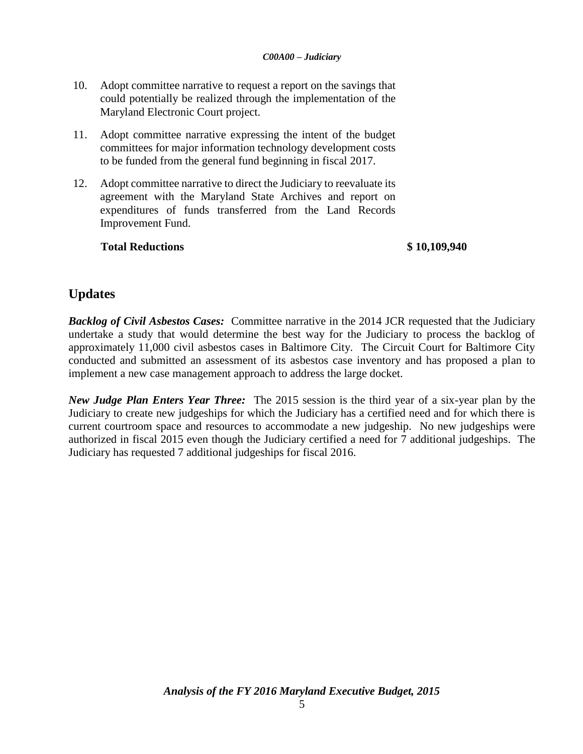- 10. Adopt committee narrative to request a report on the savings that could potentially be realized through the implementation of the Maryland Electronic Court project.
- 11. Adopt committee narrative expressing the intent of the budget committees for major information technology development costs to be funded from the general fund beginning in fiscal 2017.
- 12. Adopt committee narrative to direct the Judiciary to reevaluate its agreement with the Maryland State Archives and report on expenditures of funds transferred from the Land Records Improvement Fund.

#### **Total Reductions \$ 10,109,940**

# **Updates**

*Backlog of Civil Asbestos Cases:* Committee narrative in the 2014 JCR requested that the Judiciary undertake a study that would determine the best way for the Judiciary to process the backlog of approximately 11,000 civil asbestos cases in Baltimore City. The Circuit Court for Baltimore City conducted and submitted an assessment of its asbestos case inventory and has proposed a plan to implement a new case management approach to address the large docket.

*New Judge Plan Enters Year Three:*The 2015 session is the third year of a six-year plan by the Judiciary to create new judgeships for which the Judiciary has a certified need and for which there is current courtroom space and resources to accommodate a new judgeship. No new judgeships were authorized in fiscal 2015 even though the Judiciary certified a need for 7 additional judgeships. The Judiciary has requested 7 additional judgeships for fiscal 2016.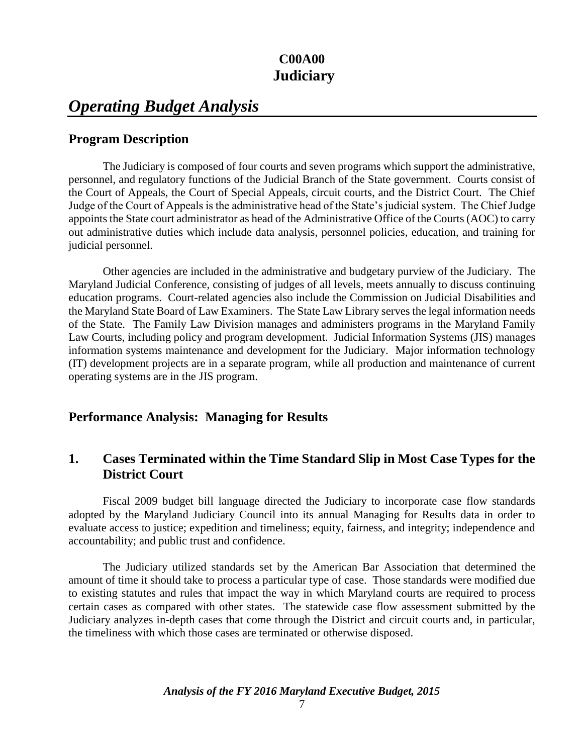# *Operating Budget Analysis*

## **Program Description**

The Judiciary is composed of four courts and seven programs which support the administrative, personnel, and regulatory functions of the Judicial Branch of the State government. Courts consist of the Court of Appeals, the Court of Special Appeals, circuit courts, and the District Court. The Chief Judge of the Court of Appeals is the administrative head of the State's judicial system. The Chief Judge appoints the State court administrator as head of the Administrative Office of the Courts (AOC) to carry out administrative duties which include data analysis, personnel policies, education, and training for judicial personnel.

Other agencies are included in the administrative and budgetary purview of the Judiciary. The Maryland Judicial Conference, consisting of judges of all levels, meets annually to discuss continuing education programs. Court-related agencies also include the Commission on Judicial Disabilities and the Maryland State Board of Law Examiners. The State Law Library serves the legal information needs of the State. The Family Law Division manages and administers programs in the Maryland Family Law Courts, including policy and program development. Judicial Information Systems (JIS) manages information systems maintenance and development for the Judiciary. Major information technology (IT) development projects are in a separate program, while all production and maintenance of current operating systems are in the JIS program.

## **Performance Analysis: Managing for Results**

# **1. Cases Terminated within the Time Standard Slip in Most Case Types for the District Court**

Fiscal 2009 budget bill language directed the Judiciary to incorporate case flow standards adopted by the Maryland Judiciary Council into its annual Managing for Results data in order to evaluate access to justice; expedition and timeliness; equity, fairness, and integrity; independence and accountability; and public trust and confidence.

The Judiciary utilized standards set by the American Bar Association that determined the amount of time it should take to process a particular type of case. Those standards were modified due to existing statutes and rules that impact the way in which Maryland courts are required to process certain cases as compared with other states. The statewide case flow assessment submitted by the Judiciary analyzes in-depth cases that come through the District and circuit courts and, in particular, the timeliness with which those cases are terminated or otherwise disposed.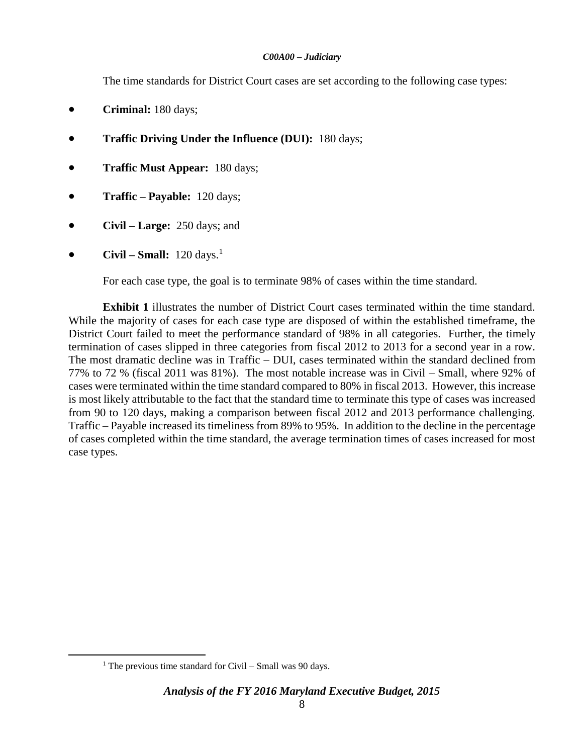The time standards for District Court cases are set according to the following case types:

- **Criminal:** 180 days;
- **Traffic Driving Under the Influence (DUI):** 180 days;
- **Traffic Must Appear:** 180 days;
- **Traffic – Payable:** 120 days;
- **Civil – Large:** 250 days; and
- **Civil Small:**  $120 \text{ days}$ .<sup>1</sup>

For each case type, the goal is to terminate 98% of cases within the time standard.

**Exhibit 1** illustrates the number of District Court cases terminated within the time standard. While the majority of cases for each case type are disposed of within the established timeframe, the District Court failed to meet the performance standard of 98% in all categories. Further, the timely termination of cases slipped in three categories from fiscal 2012 to 2013 for a second year in a row. The most dramatic decline was in Traffic – DUI, cases terminated within the standard declined from 77% to 72 % (fiscal 2011 was 81%). The most notable increase was in Civil – Small, where 92% of cases were terminated within the time standard compared to 80% in fiscal 2013. However, this increase is most likely attributable to the fact that the standard time to terminate this type of cases was increased from 90 to 120 days, making a comparison between fiscal 2012 and 2013 performance challenging. Traffic – Payable increased its timeliness from 89% to 95%. In addition to the decline in the percentage of cases completed within the time standard, the average termination times of cases increased for most case types.

 $\overline{a}$ 

<sup>&</sup>lt;sup>1</sup> The previous time standard for Civil – Small was 90 days.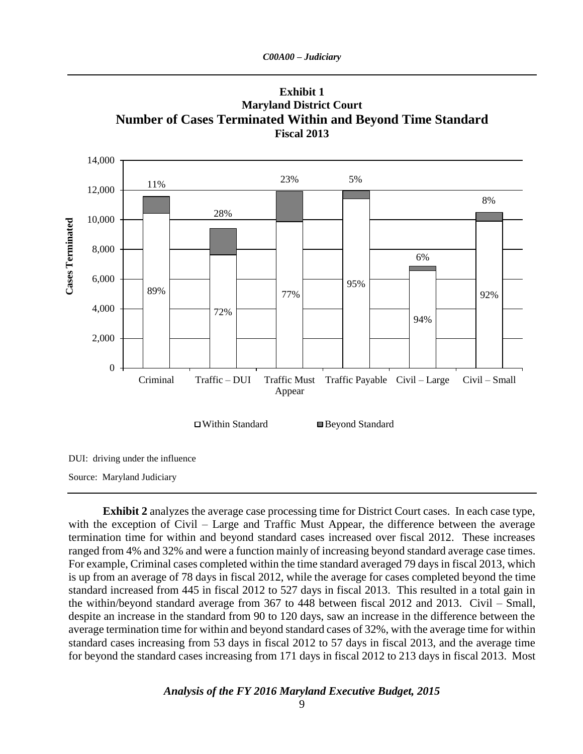

**Exhibit 1 Maryland District Court Number of Cases Terminated Within and Beyond Time Standard Fiscal 2013**

DUI: driving under the influence

Source: Maryland Judiciary

**Exhibit 2** analyzes the average case processing time for District Court cases. In each case type, with the exception of Civil – Large and Traffic Must Appear, the difference between the average termination time for within and beyond standard cases increased over fiscal 2012. These increases ranged from 4% and 32% and were a function mainly of increasing beyond standard average case times. For example, Criminal cases completed within the time standard averaged 79 days in fiscal 2013, which is up from an average of 78 days in fiscal 2012, while the average for cases completed beyond the time standard increased from 445 in fiscal 2012 to 527 days in fiscal 2013. This resulted in a total gain in the within/beyond standard average from 367 to 448 between fiscal 2012 and 2013. Civil – Small, despite an increase in the standard from 90 to 120 days, saw an increase in the difference between the average termination time for within and beyond standard cases of 32%, with the average time for within standard cases increasing from 53 days in fiscal 2012 to 57 days in fiscal 2013, and the average time for beyond the standard cases increasing from 171 days in fiscal 2012 to 213 days in fiscal 2013. Most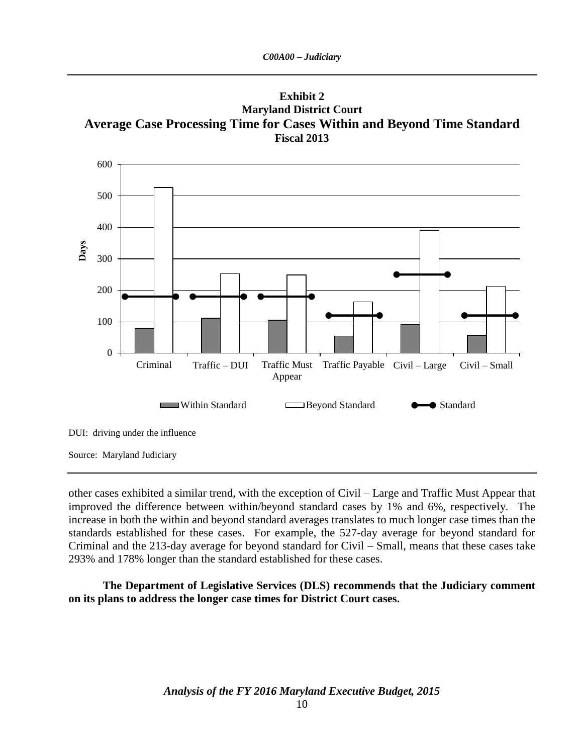**Exhibit 2 Maryland District Court Average Case Processing Time for Cases Within and Beyond Time Standard Fiscal 2013**



other cases exhibited a similar trend, with the exception of Civil – Large and Traffic Must Appear that improved the difference between within/beyond standard cases by 1% and 6%, respectively. The increase in both the within and beyond standard averages translates to much longer case times than the standards established for these cases. For example, the 527-day average for beyond standard for Criminal and the 213-day average for beyond standard for Civil – Small, means that these cases take 293% and 178% longer than the standard established for these cases.

**The Department of Legislative Services (DLS) recommends that the Judiciary comment on its plans to address the longer case times for District Court cases.**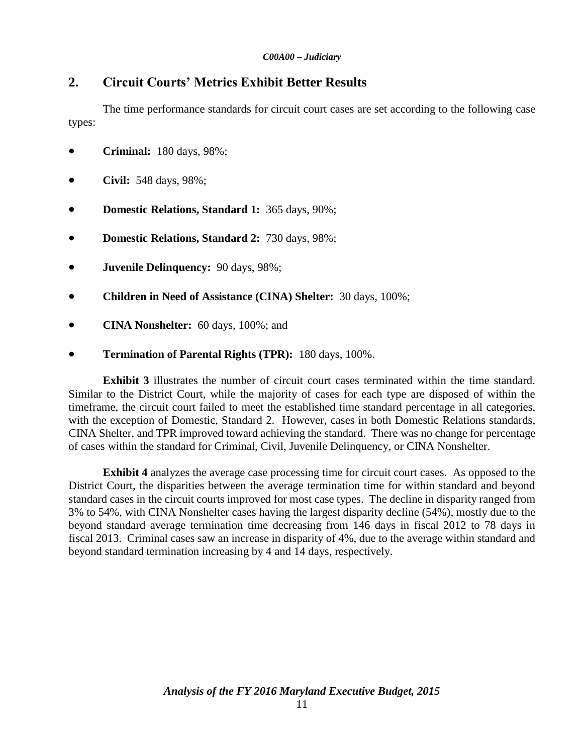# **2. Circuit Courts' Metrics Exhibit Better Results**

The time performance standards for circuit court cases are set according to the following case types:

- **Criminal:** 180 days, 98%;
- **Civil:** 548 days, 98%;
- **Domestic Relations, Standard 1:** 365 days, 90%;
- **Domestic Relations, Standard 2:** 730 days, 98%;
- **Juvenile Delinquency:** 90 days, 98%;
- **Children in Need of Assistance (CINA) Shelter:** 30 days, 100%;
- **CINA Nonshelter:** 60 days, 100%; and
- **Termination of Parental Rights (TPR):** 180 days, 100%.

**Exhibit 3** illustrates the number of circuit court cases terminated within the time standard. Similar to the District Court, while the majority of cases for each type are disposed of within the timeframe, the circuit court failed to meet the established time standard percentage in all categories, with the exception of Domestic, Standard 2. However, cases in both Domestic Relations standards, CINA Shelter, and TPR improved toward achieving the standard. There was no change for percentage of cases within the standard for Criminal, Civil, Juvenile Delinquency, or CINA Nonshelter.

**Exhibit 4** analyzes the average case processing time for circuit court cases. As opposed to the District Court, the disparities between the average termination time for within standard and beyond standard cases in the circuit courts improved for most case types. The decline in disparity ranged from 3% to 54%, with CINA Nonshelter cases having the largest disparity decline (54%), mostly due to the beyond standard average termination time decreasing from 146 days in fiscal 2012 to 78 days in fiscal 2013. Criminal cases saw an increase in disparity of 4%, due to the average within standard and beyond standard termination increasing by 4 and 14 days, respectively.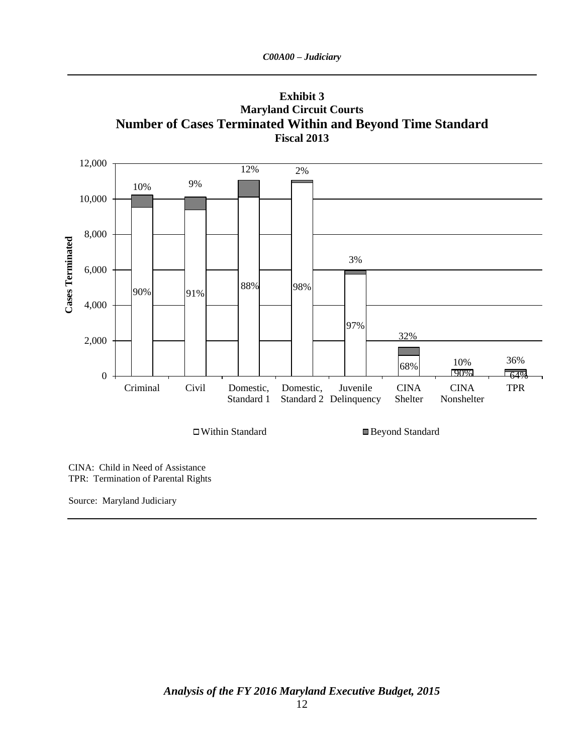

**Exhibit 3 Maryland Circuit Courts Number of Cases Terminated Within and Beyond Time Standard**

CINA: Child in Need of Assistance TPR: Termination of Parental Rights

Source: Maryland Judiciary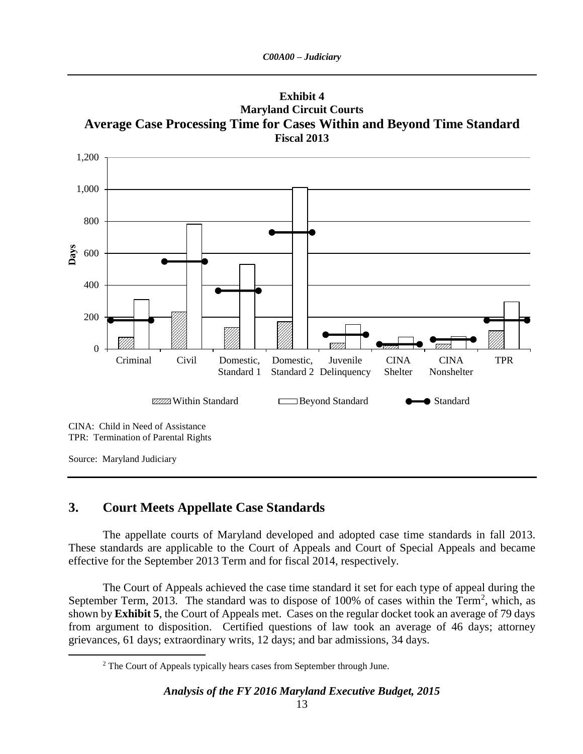



### **3. Court Meets Appellate Case Standards**

 $\overline{a}$ 

The appellate courts of Maryland developed and adopted case time standards in fall 2013. These standards are applicable to the Court of Appeals and Court of Special Appeals and became effective for the September 2013 Term and for fiscal 2014, respectively.

The Court of Appeals achieved the case time standard it set for each type of appeal during the September Term, 2013. The standard was to dispose of 100% of cases within the Term<sup>2</sup>, which, as shown by **Exhibit 5**, the Court of Appeals met. Cases on the regular docket took an average of 79 days from argument to disposition. Certified questions of law took an average of 46 days; attorney grievances, 61 days; extraordinary writs, 12 days; and bar admissions, 34 days.

<sup>&</sup>lt;sup>2</sup> The Court of Appeals typically hears cases from September through June.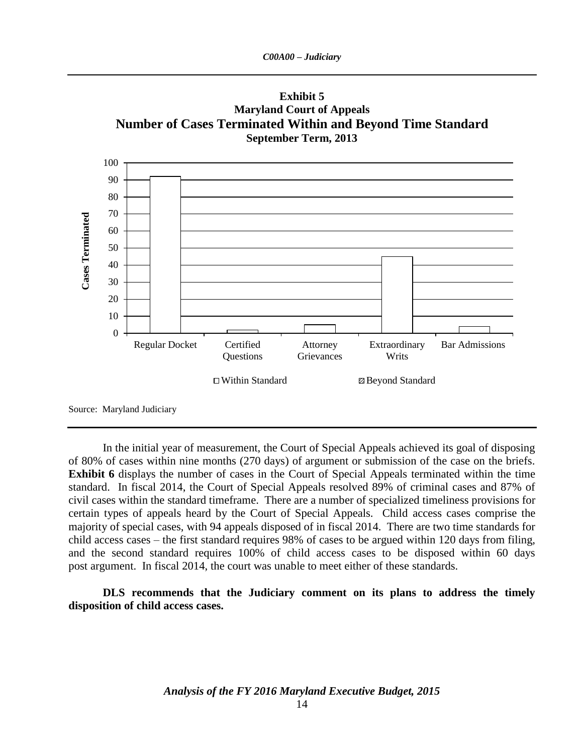

In the initial year of measurement, the Court of Special Appeals achieved its goal of disposing of 80% of cases within nine months (270 days) of argument or submission of the case on the briefs. **Exhibit 6** displays the number of cases in the Court of Special Appeals terminated within the time standard. In fiscal 2014, the Court of Special Appeals resolved 89% of criminal cases and 87% of civil cases within the standard timeframe. There are a number of specialized timeliness provisions for certain types of appeals heard by the Court of Special Appeals. Child access cases comprise the majority of special cases, with 94 appeals disposed of in fiscal 2014. There are two time standards for child access cases – the first standard requires 98% of cases to be argued within 120 days from filing, and the second standard requires 100% of child access cases to be disposed within 60 days post argument. In fiscal 2014, the court was unable to meet either of these standards.

**DLS recommends that the Judiciary comment on its plans to address the timely disposition of child access cases.**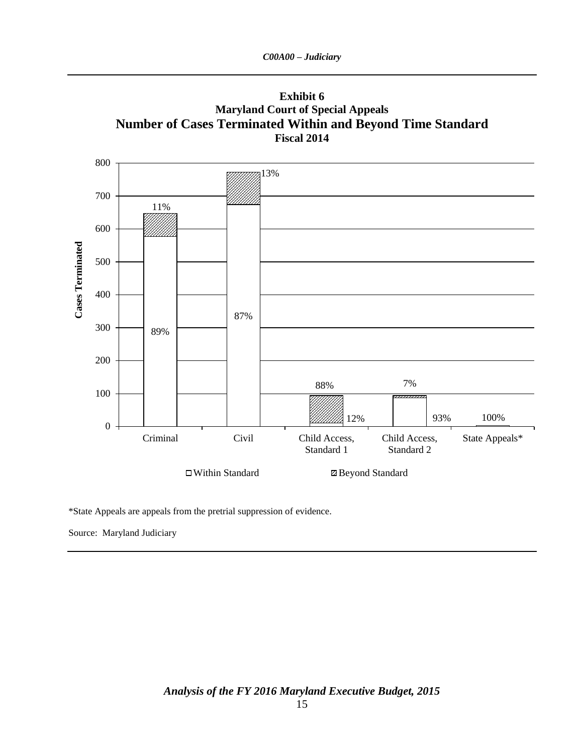



\*State Appeals are appeals from the pretrial suppression of evidence.

Source: Maryland Judiciary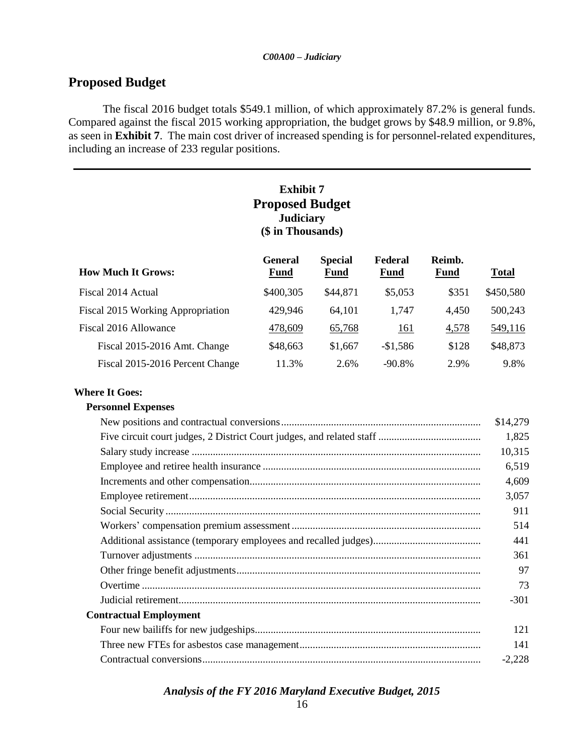## **Proposed Budget**

The fiscal 2016 budget totals \$549.1 million, of which approximately 87.2% is general funds. Compared against the fiscal 2015 working appropriation, the budget grows by \$48.9 million, or 9.8%, as seen in **Exhibit 7**. The main cost driver of increased spending is for personnel-related expenditures, including an increase of 233 regular positions.

### **Exhibit 7 Proposed Budget Judiciary (\$ in Thousands)**

| <b>How Much It Grows:</b>         | <b>General</b><br><b>Fund</b> | <b>Special</b><br><b>Fund</b> | Federal<br><b>Fund</b> | Reimb.<br><b>Fund</b> | <b>Total</b> |
|-----------------------------------|-------------------------------|-------------------------------|------------------------|-----------------------|--------------|
| Fiscal 2014 Actual                | \$400,305                     | \$44,871                      | \$5,053                | \$351                 | \$450,580    |
| Fiscal 2015 Working Appropriation | 429,946                       | 64,101                        | 1,747                  | 4,450                 | 500,243      |
| Fiscal 2016 Allowance             | 478,609                       | 65,768                        | <u> 161</u>            | 4,578                 | 549,116      |
| Fiscal 2015-2016 Amt. Change      | \$48,663                      | \$1,667                       | $-$1,586$              | \$128                 | \$48,873     |
| Fiscal 2015-2016 Percent Change   | 11.3%                         | 2.6%                          | $-90.8\%$              | 2.9%                  | 9.8%         |

#### **Where It Goes:**

#### **Personnel Expenses**

|                               | \$14,279 |
|-------------------------------|----------|
|                               | 1,825    |
|                               | 10,315   |
|                               | 6,519    |
|                               | 4,609    |
|                               | 3,057    |
|                               | 911      |
|                               | 514      |
|                               | 441      |
|                               | 361      |
|                               | 97       |
|                               | 73       |
|                               | $-301$   |
| <b>Contractual Employment</b> |          |
|                               | 121      |
|                               | 141      |
|                               | $-2,228$ |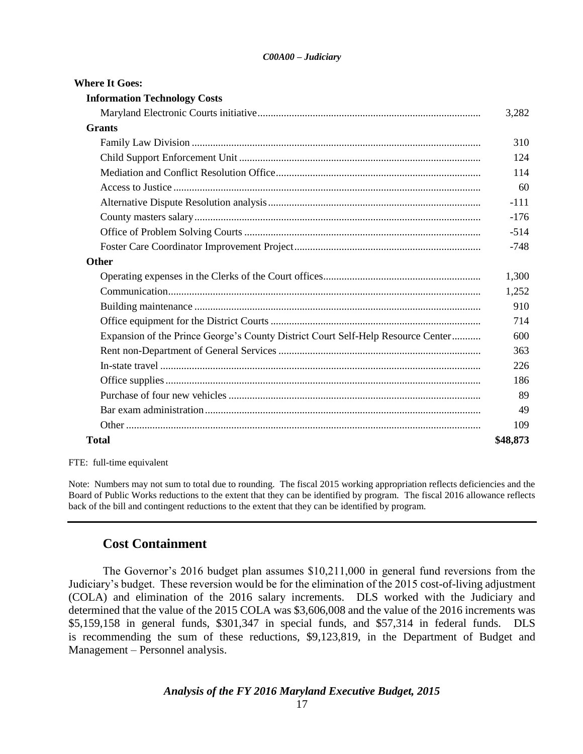| <b>Where It Goes:</b>                                                            |          |
|----------------------------------------------------------------------------------|----------|
| <b>Information Technology Costs</b>                                              |          |
|                                                                                  | 3,282    |
| <b>Grants</b>                                                                    |          |
|                                                                                  | 310      |
|                                                                                  | 124      |
|                                                                                  | 114      |
|                                                                                  | 60       |
|                                                                                  | $-111$   |
|                                                                                  | $-176$   |
|                                                                                  | $-514$   |
|                                                                                  | $-748$   |
| Other                                                                            |          |
|                                                                                  | 1,300    |
|                                                                                  | 1,252    |
|                                                                                  | 910      |
|                                                                                  | 714      |
| Expansion of the Prince George's County District Court Self-Help Resource Center | 600      |
|                                                                                  | 363      |
|                                                                                  | 226      |
|                                                                                  | 186      |
|                                                                                  | 89       |
|                                                                                  | 49       |
|                                                                                  | 109      |
| <b>Total</b>                                                                     | \$48,873 |
|                                                                                  |          |

FTE: full-time equivalent

Note: Numbers may not sum to total due to rounding. The fiscal 2015 working appropriation reflects deficiencies and the Board of Public Works reductions to the extent that they can be identified by program. The fiscal 2016 allowance reflects back of the bill and contingent reductions to the extent that they can be identified by program.

#### **Cost Containment**

The Governor's 2016 budget plan assumes \$10,211,000 in general fund reversions from the Judiciary's budget. These reversion would be for the elimination of the 2015 cost-of-living adjustment (COLA) and elimination of the 2016 salary increments. DLS worked with the Judiciary and determined that the value of the 2015 COLA was \$3,606,008 and the value of the 2016 increments was \$5,159,158 in general funds, \$301,347 in special funds, and \$57,314 in federal funds. DLS is recommending the sum of these reductions, \$9,123,819, in the Department of Budget and Management – Personnel analysis.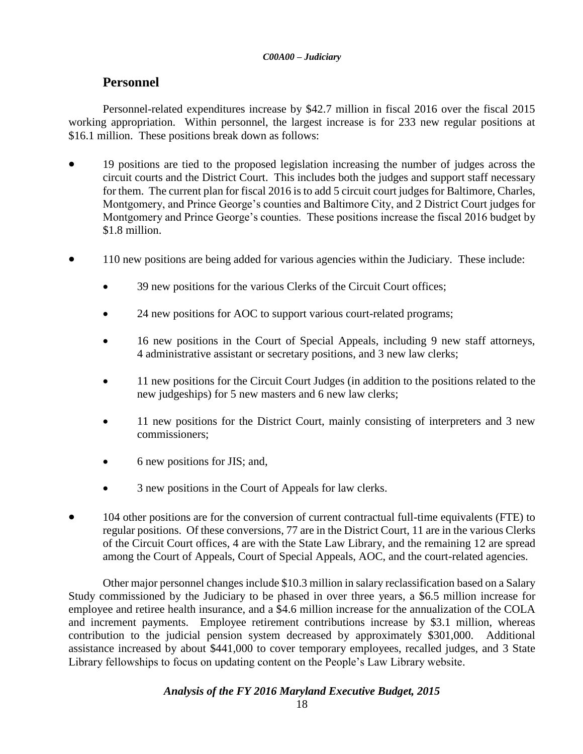## **Personnel**

Personnel-related expenditures increase by \$42.7 million in fiscal 2016 over the fiscal 2015 working appropriation. Within personnel, the largest increase is for 233 new regular positions at \$16.1 million. These positions break down as follows:

- 19 positions are tied to the proposed legislation increasing the number of judges across the circuit courts and the District Court. This includes both the judges and support staff necessary for them. The current plan for fiscal 2016 is to add 5 circuit court judges for Baltimore, Charles, Montgomery, and Prince George's counties and Baltimore City, and 2 District Court judges for Montgomery and Prince George's counties. These positions increase the fiscal 2016 budget by \$1.8 million.
- 110 new positions are being added for various agencies within the Judiciary. These include:
	- 39 new positions for the various Clerks of the Circuit Court offices;
	- 24 new positions for AOC to support various court-related programs;
	- 16 new positions in the Court of Special Appeals, including 9 new staff attorneys, 4 administrative assistant or secretary positions, and 3 new law clerks;
	- 11 new positions for the Circuit Court Judges (in addition to the positions related to the new judgeships) for 5 new masters and 6 new law clerks;
	- 11 new positions for the District Court, mainly consisting of interpreters and 3 new commissioners;
	- 6 new positions for JIS; and,
	- 3 new positions in the Court of Appeals for law clerks.
- 104 other positions are for the conversion of current contractual full-time equivalents (FTE) to regular positions. Of these conversions, 77 are in the District Court, 11 are in the various Clerks of the Circuit Court offices, 4 are with the State Law Library, and the remaining 12 are spread among the Court of Appeals, Court of Special Appeals, AOC, and the court-related agencies.

Other major personnel changes include \$10.3 million in salary reclassification based on a Salary Study commissioned by the Judiciary to be phased in over three years, a \$6.5 million increase for employee and retiree health insurance, and a \$4.6 million increase for the annualization of the COLA and increment payments. Employee retirement contributions increase by \$3.1 million, whereas contribution to the judicial pension system decreased by approximately \$301,000. Additional assistance increased by about \$441,000 to cover temporary employees, recalled judges, and 3 State Library fellowships to focus on updating content on the People's Law Library website.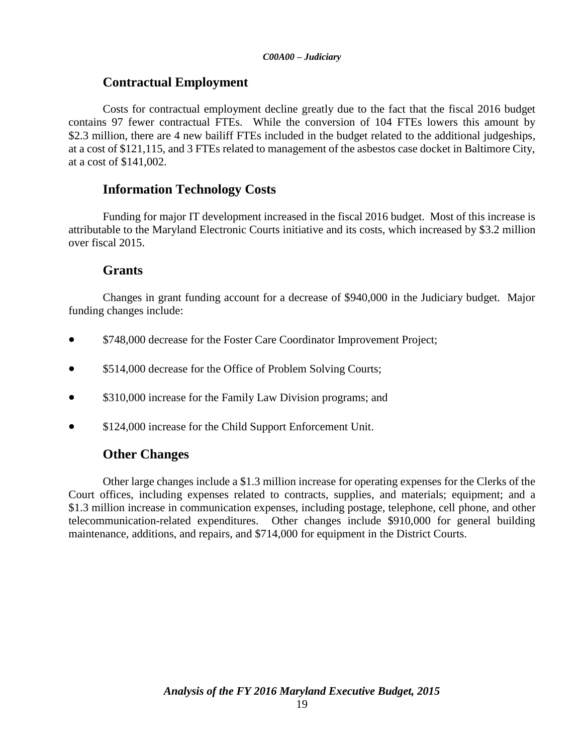## **Contractual Employment**

Costs for contractual employment decline greatly due to the fact that the fiscal 2016 budget contains 97 fewer contractual FTEs. While the conversion of 104 FTEs lowers this amount by \$2.3 million, there are 4 new bailiff FTEs included in the budget related to the additional judgeships, at a cost of \$121,115, and 3 FTEs related to management of the asbestos case docket in Baltimore City, at a cost of \$141,002.

## **Information Technology Costs**

Funding for major IT development increased in the fiscal 2016 budget. Most of this increase is attributable to the Maryland Electronic Courts initiative and its costs, which increased by \$3.2 million over fiscal 2015.

## **Grants**

Changes in grant funding account for a decrease of \$940,000 in the Judiciary budget. Major funding changes include:

- \$748,000 decrease for the Foster Care Coordinator Improvement Project;
- \$514,000 decrease for the Office of Problem Solving Courts;
- \$310,000 increase for the Family Law Division programs; and
- \$124,000 increase for the Child Support Enforcement Unit.

# **Other Changes**

Other large changes include a \$1.3 million increase for operating expenses for the Clerks of the Court offices, including expenses related to contracts, supplies, and materials; equipment; and a \$1.3 million increase in communication expenses, including postage, telephone, cell phone, and other telecommunication-related expenditures. Other changes include \$910,000 for general building maintenance, additions, and repairs, and \$714,000 for equipment in the District Courts.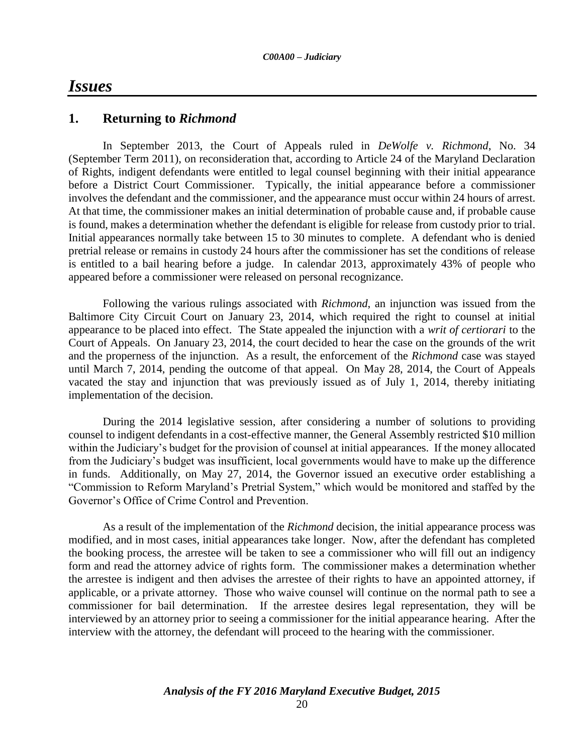# *Issues*

#### **1. Returning to** *Richmond*

In September 2013, the Court of Appeals ruled in *DeWolfe v. Richmond*, No. 34 (September Term 2011), on reconsideration that, according to Article 24 of the Maryland Declaration of Rights, indigent defendants were entitled to legal counsel beginning with their initial appearance before a District Court Commissioner. Typically, the initial appearance before a commissioner involves the defendant and the commissioner, and the appearance must occur within 24 hours of arrest. At that time, the commissioner makes an initial determination of probable cause and, if probable cause is found, makes a determination whether the defendant is eligible for release from custody prior to trial. Initial appearances normally take between 15 to 30 minutes to complete. A defendant who is denied pretrial release or remains in custody 24 hours after the commissioner has set the conditions of release is entitled to a bail hearing before a judge. In calendar 2013, approximately 43% of people who appeared before a commissioner were released on personal recognizance.

Following the various rulings associated with *Richmond*, an injunction was issued from the Baltimore City Circuit Court on January 23, 2014, which required the right to counsel at initial appearance to be placed into effect. The State appealed the injunction with a *writ of certiorari* to the Court of Appeals. On January 23, 2014, the court decided to hear the case on the grounds of the writ and the properness of the injunction. As a result, the enforcement of the *Richmond* case was stayed until March 7, 2014, pending the outcome of that appeal. On May 28, 2014, the Court of Appeals vacated the stay and injunction that was previously issued as of July 1, 2014, thereby initiating implementation of the decision.

During the 2014 legislative session, after considering a number of solutions to providing counsel to indigent defendants in a cost-effective manner, the General Assembly restricted \$10 million within the Judiciary's budget for the provision of counsel at initial appearances. If the money allocated from the Judiciary's budget was insufficient, local governments would have to make up the difference in funds. Additionally, on May 27, 2014, the Governor issued an executive order establishing a "Commission to Reform Maryland's Pretrial System," which would be monitored and staffed by the Governor's Office of Crime Control and Prevention.

As a result of the implementation of the *Richmond* decision, the initial appearance process was modified, and in most cases, initial appearances take longer. Now, after the defendant has completed the booking process, the arrestee will be taken to see a commissioner who will fill out an indigency form and read the attorney advice of rights form. The commissioner makes a determination whether the arrestee is indigent and then advises the arrestee of their rights to have an appointed attorney, if applicable, or a private attorney. Those who waive counsel will continue on the normal path to see a commissioner for bail determination. If the arrestee desires legal representation, they will be interviewed by an attorney prior to seeing a commissioner for the initial appearance hearing. After the interview with the attorney, the defendant will proceed to the hearing with the commissioner.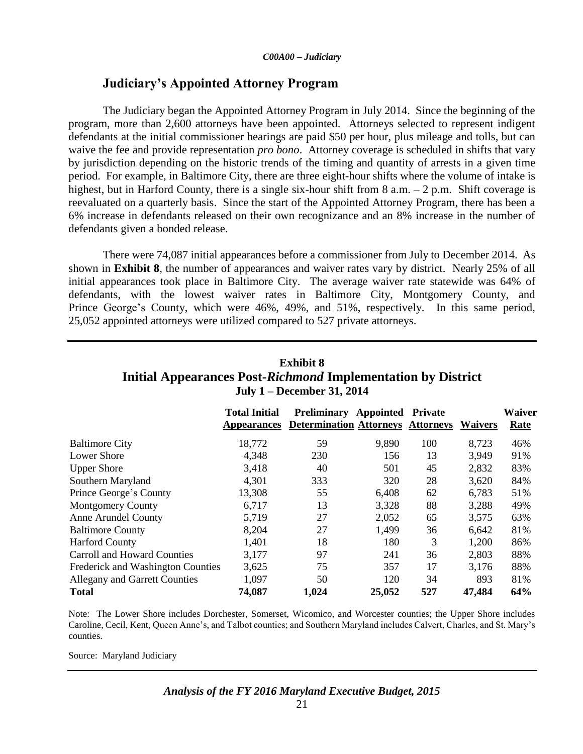## **Judiciary's Appointed Attorney Program**

The Judiciary began the Appointed Attorney Program in July 2014. Since the beginning of the program, more than 2,600 attorneys have been appointed. Attorneys selected to represent indigent defendants at the initial commissioner hearings are paid \$50 per hour, plus mileage and tolls, but can waive the fee and provide representation *pro bono*. Attorney coverage is scheduled in shifts that vary by jurisdiction depending on the historic trends of the timing and quantity of arrests in a given time period. For example, in Baltimore City, there are three eight-hour shifts where the volume of intake is highest, but in Harford County, there is a single six-hour shift from 8 a.m. – 2 p.m. Shift coverage is reevaluated on a quarterly basis. Since the start of the Appointed Attorney Program, there has been a 6% increase in defendants released on their own recognizance and an 8% increase in the number of defendants given a bonded release.

There were 74,087 initial appearances before a commissioner from July to December 2014. As shown in **Exhibit 8**, the number of appearances and waiver rates vary by district. Nearly 25% of all initial appearances took place in Baltimore City. The average waiver rate statewide was 64% of defendants, with the lowest waiver rates in Baltimore City, Montgomery County, and Prince George's County, which were 46%, 49%, and 51%, respectively. In this same period, 25,052 appointed attorneys were utilized compared to 527 private attorneys.

| <b>Exhibit 8</b>                                             |
|--------------------------------------------------------------|
| Initial Appearances Post-Richmond Implementation by District |
| July $1 -$ December 31, 2014                                 |

|                                          | <b>Total Initial</b><br><b>Appearances</b> | Preliminary Appointed Private<br><b>Determination Attorneys Attorneys</b> |        |     | <b>Waivers</b> | Waiver<br>Rate |
|------------------------------------------|--------------------------------------------|---------------------------------------------------------------------------|--------|-----|----------------|----------------|
| <b>Baltimore City</b>                    | 18,772                                     | 59                                                                        | 9,890  | 100 | 8,723          | 46%            |
| Lower Shore                              | 4,348                                      | 230                                                                       | 156    | 13  | 3,949          | 91%            |
| <b>Upper Shore</b>                       | 3,418                                      | 40                                                                        | 501    | 45  | 2,832          | 83%            |
| Southern Maryland                        | 4,301                                      | 333                                                                       | 320    | 28  | 3,620          | 84%            |
| Prince George's County                   | 13,308                                     | 55                                                                        | 6,408  | 62  | 6,783          | 51%            |
| <b>Montgomery County</b>                 | 6,717                                      | 13                                                                        | 3,328  | 88  | 3,288          | 49%            |
| <b>Anne Arundel County</b>               | 5,719                                      | 27                                                                        | 2,052  | 65  | 3,575          | 63%            |
| <b>Baltimore County</b>                  | 8,204                                      | 27                                                                        | 1,499  | 36  | 6,642          | 81%            |
| <b>Harford County</b>                    | 1,401                                      | 18                                                                        | 180    | 3   | 1,200          | 86%            |
| <b>Carroll and Howard Counties</b>       | 3,177                                      | 97                                                                        | 241    | 36  | 2,803          | 88%            |
| <b>Frederick and Washington Counties</b> | 3,625                                      | 75                                                                        | 357    | 17  | 3,176          | 88%            |
| <b>Allegany and Garrett Counties</b>     | 1,097                                      | 50                                                                        | 120    | 34  | 893            | 81%            |
| Total                                    | 74,087                                     | 1,024                                                                     | 25,052 | 527 | 47,484         | 64%            |

Note: The Lower Shore includes Dorchester, Somerset, Wicomico, and Worcester counties; the Upper Shore includes Caroline, Cecil, Kent, Queen Anne's, and Talbot counties; and Southern Maryland includes Calvert, Charles, and St. Mary's counties.

Source: Maryland Judiciary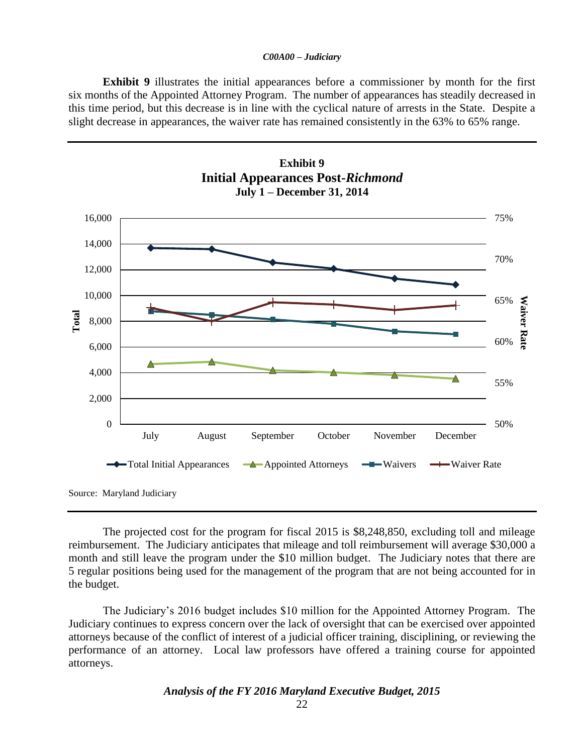**Exhibit 9** illustrates the initial appearances before a commissioner by month for the first six months of the Appointed Attorney Program. The number of appearances has steadily decreased in this time period, but this decrease is in line with the cyclical nature of arrests in the State. Despite a slight decrease in appearances, the waiver rate has remained consistently in the 63% to 65% range.

**Exhibit 9**



The projected cost for the program for fiscal 2015 is \$8,248,850, excluding toll and mileage reimbursement. The Judiciary anticipates that mileage and toll reimbursement will average \$30,000 a month and still leave the program under the \$10 million budget. The Judiciary notes that there are 5 regular positions being used for the management of the program that are not being accounted for in the budget.

The Judiciary's 2016 budget includes \$10 million for the Appointed Attorney Program. The Judiciary continues to express concern over the lack of oversight that can be exercised over appointed attorneys because of the conflict of interest of a judicial officer training, disciplining, or reviewing the performance of an attorney. Local law professors have offered a training course for appointed attorneys.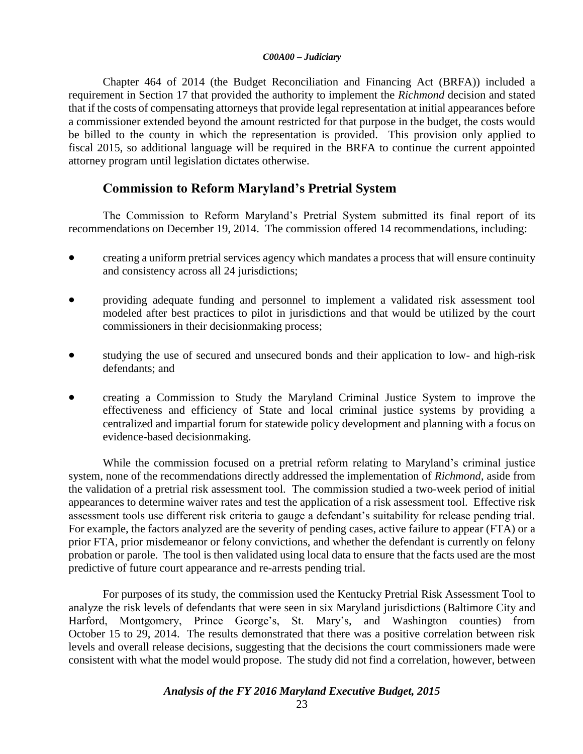Chapter 464 of 2014 (the Budget Reconciliation and Financing Act (BRFA)) included a requirement in Section 17 that provided the authority to implement the *Richmond* decision and stated that if the costs of compensating attorneys that provide legal representation at initial appearances before a commissioner extended beyond the amount restricted for that purpose in the budget, the costs would be billed to the county in which the representation is provided. This provision only applied to fiscal 2015, so additional language will be required in the BRFA to continue the current appointed attorney program until legislation dictates otherwise.

### **Commission to Reform Maryland's Pretrial System**

The Commission to Reform Maryland's Pretrial System submitted its final report of its recommendations on December 19, 2014. The commission offered 14 recommendations, including:

- creating a uniform pretrial services agency which mandates a process that will ensure continuity and consistency across all 24 jurisdictions;
- providing adequate funding and personnel to implement a validated risk assessment tool modeled after best practices to pilot in jurisdictions and that would be utilized by the court commissioners in their decisionmaking process;
- studying the use of secured and unsecured bonds and their application to low- and high-risk defendants; and
- creating a Commission to Study the Maryland Criminal Justice System to improve the effectiveness and efficiency of State and local criminal justice systems by providing a centralized and impartial forum for statewide policy development and planning with a focus on evidence-based decisionmaking.

While the commission focused on a pretrial reform relating to Maryland's criminal justice system, none of the recommendations directly addressed the implementation of *Richmond*, aside from the validation of a pretrial risk assessment tool. The commission studied a two-week period of initial appearances to determine waiver rates and test the application of a risk assessment tool. Effective risk assessment tools use different risk criteria to gauge a defendant's suitability for release pending trial. For example, the factors analyzed are the severity of pending cases, active failure to appear (FTA) or a prior FTA, prior misdemeanor or felony convictions, and whether the defendant is currently on felony probation or parole. The tool is then validated using local data to ensure that the facts used are the most predictive of future court appearance and re-arrests pending trial.

For purposes of its study, the commission used the Kentucky Pretrial Risk Assessment Tool to analyze the risk levels of defendants that were seen in six Maryland jurisdictions (Baltimore City and Harford, Montgomery, Prince George's, St. Mary's, and Washington counties) from October 15 to 29, 2014. The results demonstrated that there was a positive correlation between risk levels and overall release decisions, suggesting that the decisions the court commissioners made were consistent with what the model would propose. The study did not find a correlation, however, between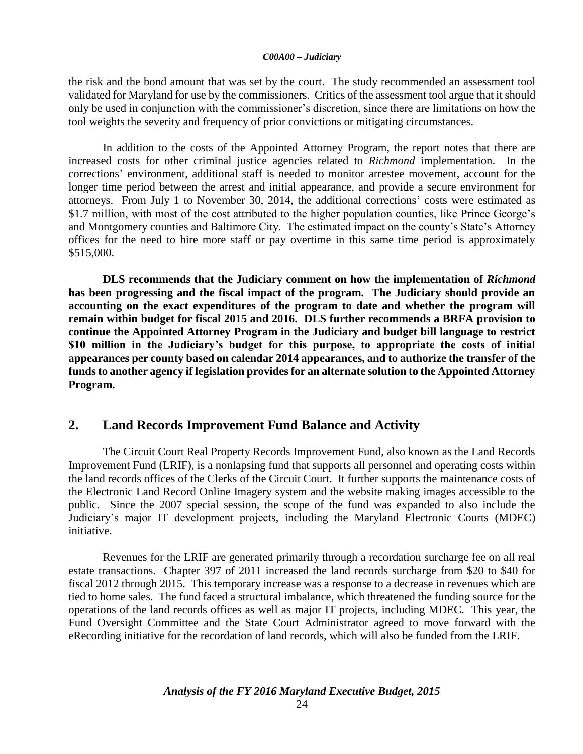the risk and the bond amount that was set by the court. The study recommended an assessment tool validated for Maryland for use by the commissioners. Critics of the assessment tool argue that it should only be used in conjunction with the commissioner's discretion, since there are limitations on how the tool weights the severity and frequency of prior convictions or mitigating circumstances.

In addition to the costs of the Appointed Attorney Program, the report notes that there are increased costs for other criminal justice agencies related to *Richmond* implementation. In the corrections' environment, additional staff is needed to monitor arrestee movement, account for the longer time period between the arrest and initial appearance, and provide a secure environment for attorneys. From July 1 to November 30, 2014, the additional corrections' costs were estimated as \$1.7 million, with most of the cost attributed to the higher population counties, like Prince George's and Montgomery counties and Baltimore City. The estimated impact on the county's State's Attorney offices for the need to hire more staff or pay overtime in this same time period is approximately \$515,000.

**DLS recommends that the Judiciary comment on how the implementation of** *Richmond* **has been progressing and the fiscal impact of the program. The Judiciary should provide an accounting on the exact expenditures of the program to date and whether the program will remain within budget for fiscal 2015 and 2016. DLS further recommends a BRFA provision to continue the Appointed Attorney Program in the Judiciary and budget bill language to restrict \$10 million in the Judiciary's budget for this purpose, to appropriate the costs of initial appearances per county based on calendar 2014 appearances, and to authorize the transfer of the funds to another agency if legislation provides for an alternate solution to the Appointed Attorney Program.** 

### **2. Land Records Improvement Fund Balance and Activity**

The Circuit Court Real Property Records Improvement Fund, also known as the Land Records Improvement Fund (LRIF), is a nonlapsing fund that supports all personnel and operating costs within the land records offices of the Clerks of the Circuit Court. It further supports the maintenance costs of the Electronic Land Record Online Imagery system and the website making images accessible to the public. Since the 2007 special session, the scope of the fund was expanded to also include the Judiciary's major IT development projects, including the Maryland Electronic Courts (MDEC) initiative.

Revenues for the LRIF are generated primarily through a recordation surcharge fee on all real estate transactions. Chapter 397 of 2011 increased the land records surcharge from \$20 to \$40 for fiscal 2012 through 2015. This temporary increase was a response to a decrease in revenues which are tied to home sales. The fund faced a structural imbalance, which threatened the funding source for the operations of the land records offices as well as major IT projects, including MDEC. This year, the Fund Oversight Committee and the State Court Administrator agreed to move forward with the eRecording initiative for the recordation of land records, which will also be funded from the LRIF.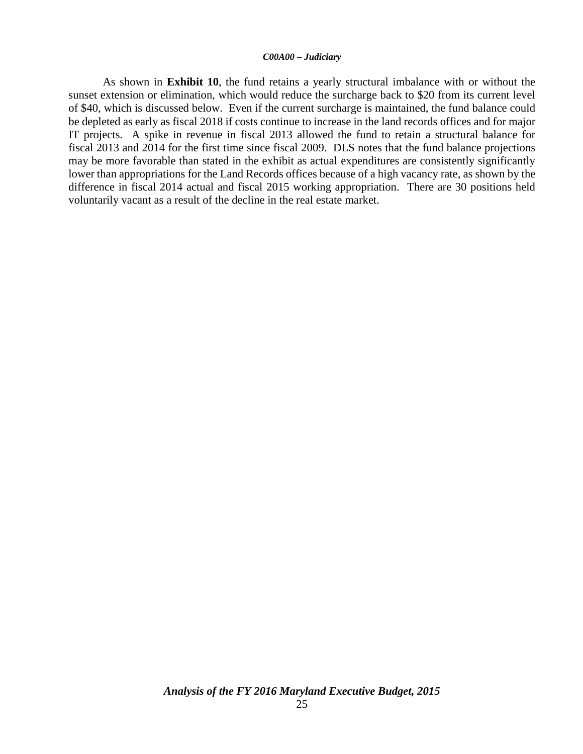As shown in **Exhibit 10**, the fund retains a yearly structural imbalance with or without the sunset extension or elimination, which would reduce the surcharge back to \$20 from its current level of \$40, which is discussed below. Even if the current surcharge is maintained, the fund balance could be depleted as early as fiscal 2018 if costs continue to increase in the land records offices and for major IT projects. A spike in revenue in fiscal 2013 allowed the fund to retain a structural balance for fiscal 2013 and 2014 for the first time since fiscal 2009. DLS notes that the fund balance projections may be more favorable than stated in the exhibit as actual expenditures are consistently significantly lower than appropriations for the Land Records offices because of a high vacancy rate, as shown by the difference in fiscal 2014 actual and fiscal 2015 working appropriation. There are 30 positions held voluntarily vacant as a result of the decline in the real estate market.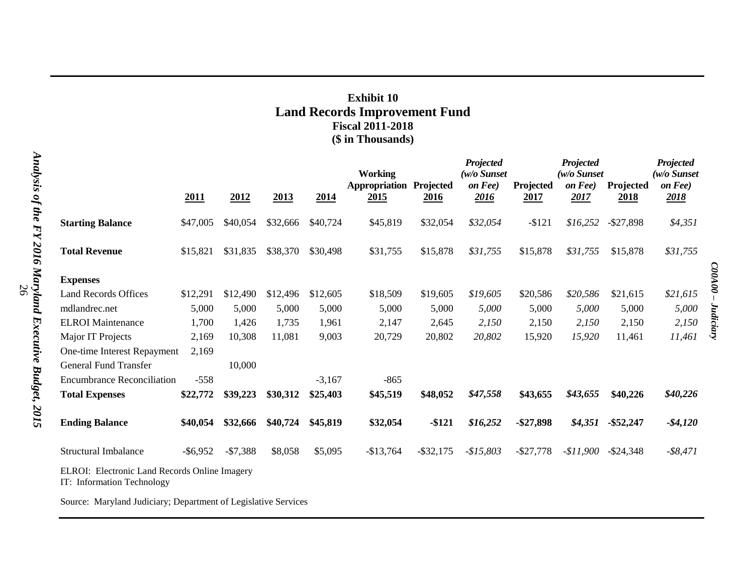# **Exhibit 10 Land Records Improvement Fund Fiscal 2011-2018 (\$ in Thousands)**

|                                                                               | 2011        | 2012      | 2013     | 2014     | <b>Working</b><br>Appropriation<br>2015 | Projected<br><u>2016</u> | Projected<br>(w/o Sunset<br>on Fee)<br>2016 | Projected<br>2017 | Projected<br>$(w/o$ Sunset<br>on Fee)<br><u>2017</u> | Projected<br><u>2018</u> | Projected<br>(w/o Sunset<br>on Fee)<br>2018 |
|-------------------------------------------------------------------------------|-------------|-----------|----------|----------|-----------------------------------------|--------------------------|---------------------------------------------|-------------------|------------------------------------------------------|--------------------------|---------------------------------------------|
|                                                                               |             |           |          |          |                                         |                          |                                             |                   |                                                      |                          |                                             |
| <b>Starting Balance</b>                                                       | \$47,005    | \$40,054  | \$32,666 | \$40,724 | \$45,819                                | \$32,054                 | \$32,054                                    | $-$121$           | \$16,252                                             | $-$ \$27,898             | \$4,351                                     |
|                                                                               |             |           |          |          |                                         |                          |                                             |                   |                                                      |                          |                                             |
| <b>Total Revenue</b>                                                          | \$15,821    | \$31,835  | \$38,370 | \$30,498 | \$31,755                                | \$15,878                 | \$31,755                                    | \$15,878          | \$31,755                                             | \$15,878                 | \$31,755                                    |
|                                                                               |             |           |          |          |                                         |                          |                                             |                   |                                                      |                          |                                             |
| <b>Expenses</b>                                                               |             |           |          |          |                                         |                          |                                             |                   |                                                      |                          |                                             |
| <b>Land Records Offices</b>                                                   | \$12,291    | \$12,490  | \$12,496 | \$12,605 | \$18,509                                | \$19,605                 | \$19,605                                    | \$20,586          | \$20,586                                             | \$21,615                 | \$21,615                                    |
| mdlandrec.net                                                                 | 5,000       | 5,000     | 5,000    | 5,000    | 5,000                                   | 5,000                    | 5,000                                       | 5,000             | 5,000                                                | 5,000                    | 5,000                                       |
| <b>ELROI</b> Maintenance                                                      | 1,700       | 1,426     | 1,735    | 1,961    | 2,147                                   | 2,645                    | 2,150                                       | 2,150             | 2,150                                                | 2,150                    | 2,150                                       |
| Major IT Projects                                                             | 2,169       | 10,308    | 11,081   | 9,003    | 20,729                                  | 20,802                   | 20,802                                      | 15,920            | 15,920                                               | 11,461                   | 11,461                                      |
| One-time Interest Repayment                                                   | 2,169       |           |          |          |                                         |                          |                                             |                   |                                                      |                          |                                             |
| <b>General Fund Transfer</b>                                                  |             | 10,000    |          |          |                                         |                          |                                             |                   |                                                      |                          |                                             |
| <b>Encumbrance Reconciliation</b>                                             | $-558$      |           |          | $-3,167$ | $-865$                                  |                          |                                             |                   |                                                      |                          |                                             |
| <b>Total Expenses</b>                                                         | \$22,772    | \$39,223  | \$30,312 | \$25,403 | \$45,519                                | \$48,052                 | \$47,558                                    | \$43,655          | \$43,655                                             | \$40,226                 | \$40,226                                    |
|                                                                               |             |           |          |          |                                         |                          |                                             |                   |                                                      |                          |                                             |
| <b>Ending Balance</b>                                                         | \$40,054    | \$32,666  | \$40,724 | \$45,819 | \$32,054                                | $-$121$                  | \$16,252                                    | $-$ \$27,898      | \$4,351                                              | $-$ \$52,247             | $-$ \$4,120                                 |
|                                                                               |             |           |          |          |                                         |                          |                                             |                   |                                                      |                          |                                             |
| <b>Structural Imbalance</b>                                                   | $-$ \$6,952 | $-$7,388$ | \$8,058  | \$5,095  | $-$13,764$                              | $-$ \$32,175             | $-$15,803$                                  | $-$ \$27,778      | $-$11,900$                                           | $-$ \$24,348             | $-$ \$8,471                                 |
| ELROI: Electronic Land Records Online Imagery<br>$IT:$ Information Technology |             |           |          |          |                                         |                          |                                             |                   |                                                      |                          |                                             |

Information Technology

Source: Maryland Judiciary; Department of Legislative Services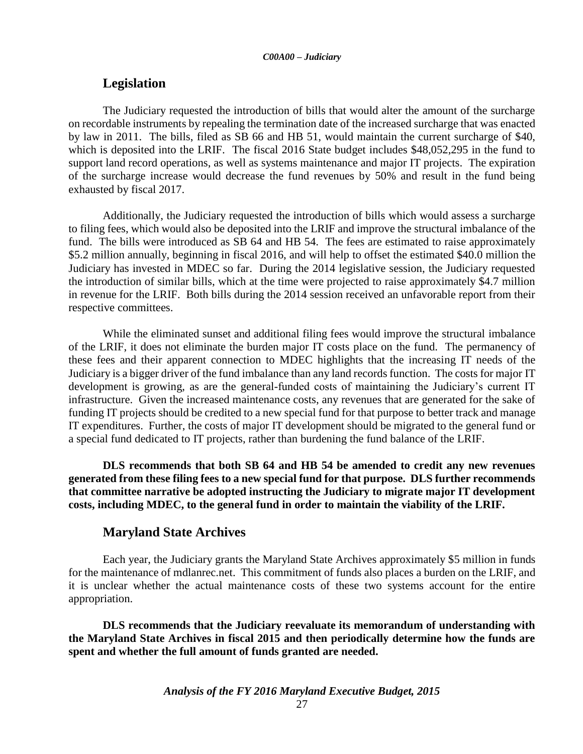### **Legislation**

The Judiciary requested the introduction of bills that would alter the amount of the surcharge on recordable instruments by repealing the termination date of the increased surcharge that was enacted by law in 2011. The bills, filed as SB 66 and HB 51, would maintain the current surcharge of \$40, which is deposited into the LRIF. The fiscal 2016 State budget includes \$48,052,295 in the fund to support land record operations, as well as systems maintenance and major IT projects. The expiration of the surcharge increase would decrease the fund revenues by 50% and result in the fund being exhausted by fiscal 2017.

Additionally, the Judiciary requested the introduction of bills which would assess a surcharge to filing fees, which would also be deposited into the LRIF and improve the structural imbalance of the fund. The bills were introduced as SB 64 and HB 54. The fees are estimated to raise approximately \$5.2 million annually, beginning in fiscal 2016, and will help to offset the estimated \$40.0 million the Judiciary has invested in MDEC so far. During the 2014 legislative session, the Judiciary requested the introduction of similar bills, which at the time were projected to raise approximately \$4.7 million in revenue for the LRIF. Both bills during the 2014 session received an unfavorable report from their respective committees.

While the eliminated sunset and additional filing fees would improve the structural imbalance of the LRIF, it does not eliminate the burden major IT costs place on the fund. The permanency of these fees and their apparent connection to MDEC highlights that the increasing IT needs of the Judiciary is a bigger driver of the fund imbalance than any land records function. The costs for major IT development is growing, as are the general-funded costs of maintaining the Judiciary's current IT infrastructure. Given the increased maintenance costs, any revenues that are generated for the sake of funding IT projects should be credited to a new special fund for that purpose to better track and manage IT expenditures. Further, the costs of major IT development should be migrated to the general fund or a special fund dedicated to IT projects, rather than burdening the fund balance of the LRIF.

**DLS recommends that both SB 64 and HB 54 be amended to credit any new revenues generated from these filing fees to a new special fund for that purpose. DLS further recommends that committee narrative be adopted instructing the Judiciary to migrate major IT development costs, including MDEC, to the general fund in order to maintain the viability of the LRIF.** 

### **Maryland State Archives**

Each year, the Judiciary grants the Maryland State Archives approximately \$5 million in funds for the maintenance of mdlanrec.net. This commitment of funds also places a burden on the LRIF, and it is unclear whether the actual maintenance costs of these two systems account for the entire appropriation.

**DLS recommends that the Judiciary reevaluate its memorandum of understanding with the Maryland State Archives in fiscal 2015 and then periodically determine how the funds are spent and whether the full amount of funds granted are needed.**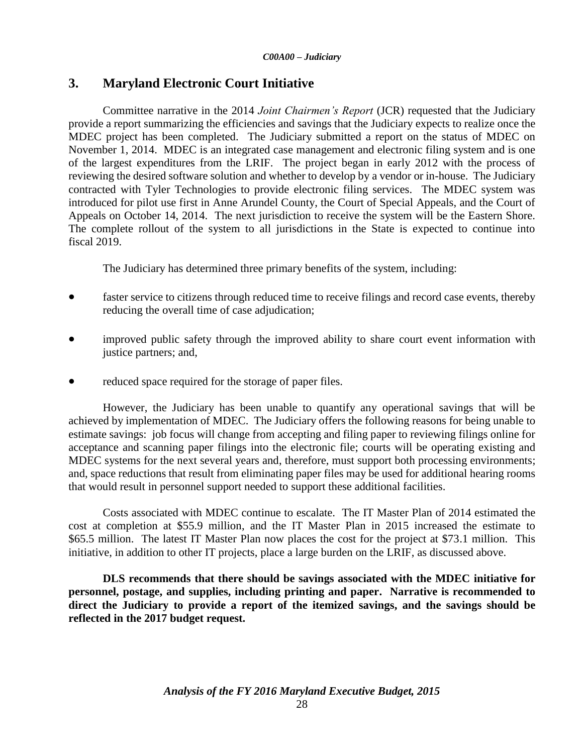# **3. Maryland Electronic Court Initiative**

Committee narrative in the 2014 *Joint Chairmen's Report* (JCR) requested that the Judiciary provide a report summarizing the efficiencies and savings that the Judiciary expects to realize once the MDEC project has been completed. The Judiciary submitted a report on the status of MDEC on November 1, 2014. MDEC is an integrated case management and electronic filing system and is one of the largest expenditures from the LRIF. The project began in early 2012 with the process of reviewing the desired software solution and whether to develop by a vendor or in-house. The Judiciary contracted with Tyler Technologies to provide electronic filing services. The MDEC system was introduced for pilot use first in Anne Arundel County, the Court of Special Appeals, and the Court of Appeals on October 14, 2014. The next jurisdiction to receive the system will be the Eastern Shore. The complete rollout of the system to all jurisdictions in the State is expected to continue into fiscal 2019.

The Judiciary has determined three primary benefits of the system, including:

- faster service to citizens through reduced time to receive filings and record case events, thereby reducing the overall time of case adjudication;
- improved public safety through the improved ability to share court event information with justice partners; and,
- reduced space required for the storage of paper files.

However, the Judiciary has been unable to quantify any operational savings that will be achieved by implementation of MDEC. The Judiciary offers the following reasons for being unable to estimate savings: job focus will change from accepting and filing paper to reviewing filings online for acceptance and scanning paper filings into the electronic file; courts will be operating existing and MDEC systems for the next several years and, therefore, must support both processing environments; and, space reductions that result from eliminating paper files may be used for additional hearing rooms that would result in personnel support needed to support these additional facilities.

Costs associated with MDEC continue to escalate. The IT Master Plan of 2014 estimated the cost at completion at \$55.9 million, and the IT Master Plan in 2015 increased the estimate to \$65.5 million. The latest IT Master Plan now places the cost for the project at \$73.1 million. This initiative, in addition to other IT projects, place a large burden on the LRIF, as discussed above.

**DLS recommends that there should be savings associated with the MDEC initiative for personnel, postage, and supplies, including printing and paper. Narrative is recommended to direct the Judiciary to provide a report of the itemized savings, and the savings should be reflected in the 2017 budget request.**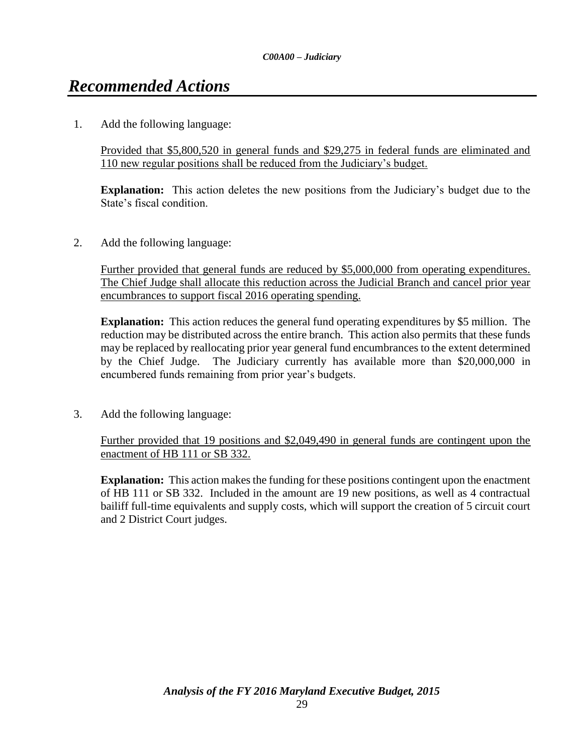# *Recommended Actions*

1. Add the following language:

Provided that \$5,800,520 in general funds and \$29,275 in federal funds are eliminated and 110 new regular positions shall be reduced from the Judiciary's budget.

**Explanation:** This action deletes the new positions from the Judiciary's budget due to the State's fiscal condition.

2. Add the following language:

Further provided that general funds are reduced by \$5,000,000 from operating expenditures. The Chief Judge shall allocate this reduction across the Judicial Branch and cancel prior year encumbrances to support fiscal 2016 operating spending.

**Explanation:** This action reduces the general fund operating expenditures by \$5 million. The reduction may be distributed across the entire branch. This action also permits that these funds may be replaced by reallocating prior year general fund encumbrances to the extent determined by the Chief Judge. The Judiciary currently has available more than \$20,000,000 in encumbered funds remaining from prior year's budgets.

3. Add the following language:

Further provided that 19 positions and \$2,049,490 in general funds are contingent upon the enactment of HB 111 or SB 332.

**Explanation:** This action makes the funding for these positions contingent upon the enactment of HB 111 or SB 332. Included in the amount are 19 new positions, as well as 4 contractual bailiff full-time equivalents and supply costs, which will support the creation of 5 circuit court and 2 District Court judges.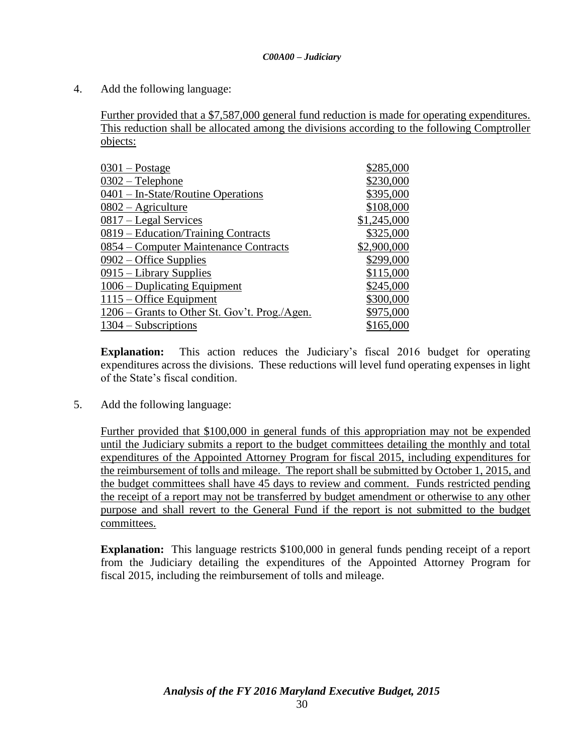4. Add the following language:

Further provided that a \$7,587,000 general fund reduction is made for operating expenditures. This reduction shall be allocated among the divisions according to the following Comptroller objects:

| $0301 -$ Postage                              | \$285,000   |
|-----------------------------------------------|-------------|
| $0302$ – Telephone                            | \$230,000   |
| 0401 – In-State/Routine Operations            | \$395,000   |
| $0802 -$ Agriculture                          | \$108,000   |
| 0817 – Legal Services                         | \$1,245,000 |
| 0819 – Education/Training Contracts           | \$325,000   |
| 0854 – Computer Maintenance Contracts         | \$2,900,000 |
| $0902 -$ Office Supplies                      | \$299,000   |
| 0915 – Library Supplies                       | \$115,000   |
| 1006 – Duplicating Equipment                  | \$245,000   |
| $1115 -$ Office Equipment                     | \$300,000   |
| 1206 – Grants to Other St. Gov't. Prog./Agen. | \$975,000   |
| $1304 - Subscripts$                           | \$165,000   |

**Explanation:** This action reduces the Judiciary's fiscal 2016 budget for operating expenditures across the divisions. These reductions will level fund operating expenses in light of the State's fiscal condition.

5. Add the following language:

Further provided that \$100,000 in general funds of this appropriation may not be expended until the Judiciary submits a report to the budget committees detailing the monthly and total expenditures of the Appointed Attorney Program for fiscal 2015, including expenditures for the reimbursement of tolls and mileage. The report shall be submitted by October 1, 2015, and the budget committees shall have 45 days to review and comment. Funds restricted pending the receipt of a report may not be transferred by budget amendment or otherwise to any other purpose and shall revert to the General Fund if the report is not submitted to the budget committees.

**Explanation:** This language restricts \$100,000 in general funds pending receipt of a report from the Judiciary detailing the expenditures of the Appointed Attorney Program for fiscal 2015, including the reimbursement of tolls and mileage.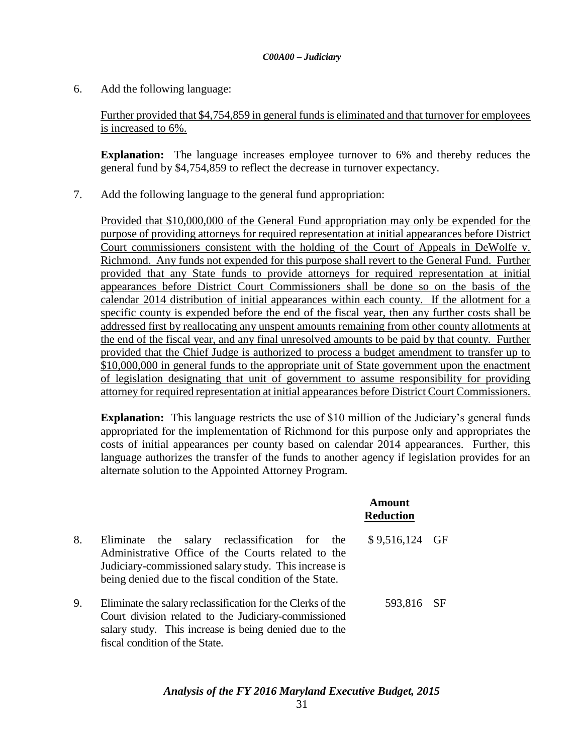6. Add the following language:

Further provided that \$4,754,859 in general funds is eliminated and that turnover for employees is increased to 6%.

**Explanation:** The language increases employee turnover to 6% and thereby reduces the general fund by \$4,754,859 to reflect the decrease in turnover expectancy.

7. Add the following language to the general fund appropriation:

Provided that \$10,000,000 of the General Fund appropriation may only be expended for the purpose of providing attorneys for required representation at initial appearances before District Court commissioners consistent with the holding of the Court of Appeals in DeWolfe v. Richmond. Any funds not expended for this purpose shall revert to the General Fund. Further provided that any State funds to provide attorneys for required representation at initial appearances before District Court Commissioners shall be done so on the basis of the calendar 2014 distribution of initial appearances within each county. If the allotment for a specific county is expended before the end of the fiscal year, then any further costs shall be addressed first by reallocating any unspent amounts remaining from other county allotments at the end of the fiscal year, and any final unresolved amounts to be paid by that county. Further provided that the Chief Judge is authorized to process a budget amendment to transfer up to \$10,000,000 in general funds to the appropriate unit of State government upon the enactment of legislation designating that unit of government to assume responsibility for providing attorney for required representation at initial appearances before District Court Commissioners.

**Explanation:** This language restricts the use of \$10 million of the Judiciary's general funds appropriated for the implementation of Richmond for this purpose only and appropriates the costs of initial appearances per county based on calendar 2014 appearances. Further, this language authorizes the transfer of the funds to another agency if legislation provides for an alternate solution to the Appointed Attorney Program.

|    |                                                                                                                                                                                                                        | Amount<br><b>Reduction</b> |  |
|----|------------------------------------------------------------------------------------------------------------------------------------------------------------------------------------------------------------------------|----------------------------|--|
| 8. | Eliminate the salary reclassification for the<br>Administrative Office of the Courts related to the<br>Judiciary-commissioned salary study. This increase is<br>being denied due to the fiscal condition of the State. | \$9,516,124 GF             |  |
| 9. | Eliminate the salary reclassification for the Clerks of the<br>Court division related to the Judiciary-commissioned<br>salary study. This increase is being denied due to the<br>fiscal condition of the State.        | 593,816 SF                 |  |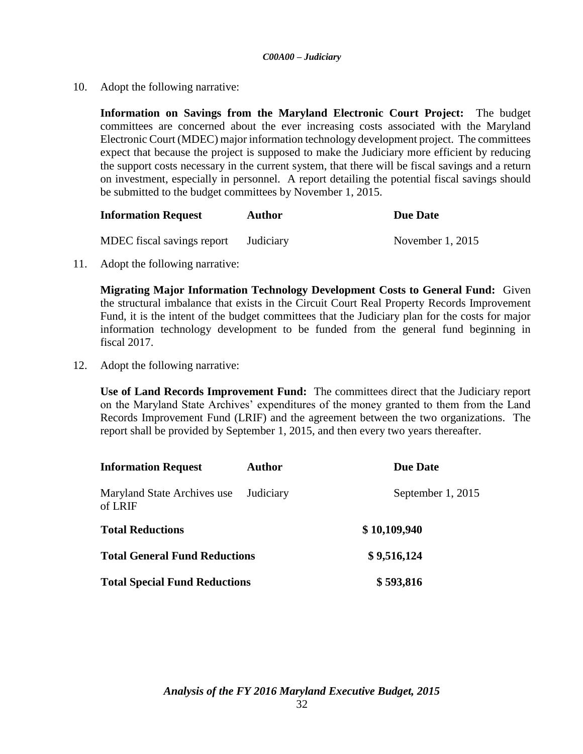10. Adopt the following narrative:

**Information on Savings from the Maryland Electronic Court Project:** The budget committees are concerned about the ever increasing costs associated with the Maryland Electronic Court (MDEC) major information technology development project. The committees expect that because the project is supposed to make the Judiciary more efficient by reducing the support costs necessary in the current system, that there will be fiscal savings and a return on investment, especially in personnel. A report detailing the potential fiscal savings should be submitted to the budget committees by November 1, 2015.

| <b>Information Request</b> | <b>Author</b> | Due Date           |
|----------------------------|---------------|--------------------|
| MDEC fiscal savings report | Judiciary     | November $1, 2015$ |

11. Adopt the following narrative:

**Migrating Major Information Technology Development Costs to General Fund:** Given the structural imbalance that exists in the Circuit Court Real Property Records Improvement Fund, it is the intent of the budget committees that the Judiciary plan for the costs for major information technology development to be funded from the general fund beginning in fiscal 2017.

12. Adopt the following narrative:

**Use of Land Records Improvement Fund:** The committees direct that the Judiciary report on the Maryland State Archives' expenditures of the money granted to them from the Land Records Improvement Fund (LRIF) and the agreement between the two organizations. The report shall be provided by September 1, 2015, and then every two years thereafter.

| <b>Information Request</b>             | <b>Author</b> | <b>Due Date</b>   |
|----------------------------------------|---------------|-------------------|
| Maryland State Archives use<br>of LRIF | Judiciary     | September 1, 2015 |
| <b>Total Reductions</b>                |               | \$10,109,940      |
| <b>Total General Fund Reductions</b>   | \$9,516,124   |                   |
| <b>Total Special Fund Reductions</b>   |               | \$593,816         |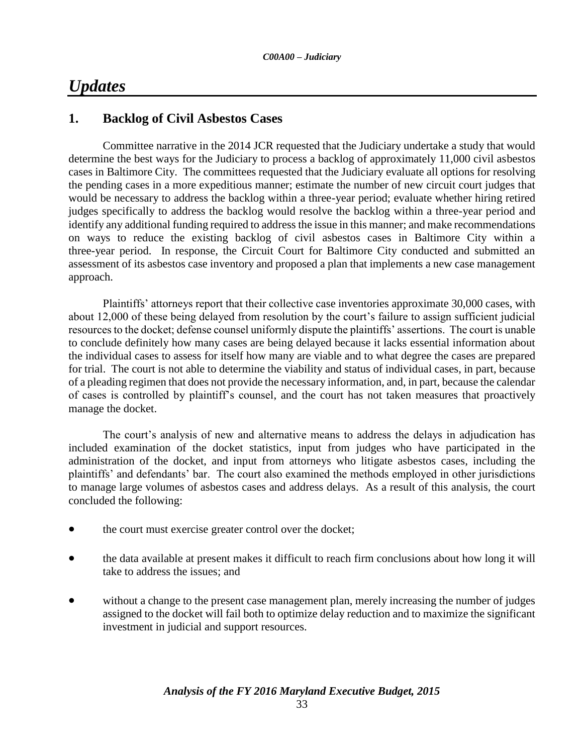# *Updates*

## **1. Backlog of Civil Asbestos Cases**

Committee narrative in the 2014 JCR requested that the Judiciary undertake a study that would determine the best ways for the Judiciary to process a backlog of approximately 11,000 civil asbestos cases in Baltimore City. The committees requested that the Judiciary evaluate all options for resolving the pending cases in a more expeditious manner; estimate the number of new circuit court judges that would be necessary to address the backlog within a three-year period; evaluate whether hiring retired judges specifically to address the backlog would resolve the backlog within a three-year period and identify any additional funding required to address the issue in this manner; and make recommendations on ways to reduce the existing backlog of civil asbestos cases in Baltimore City within a three-year period. In response, the Circuit Court for Baltimore City conducted and submitted an assessment of its asbestos case inventory and proposed a plan that implements a new case management approach.

Plaintiffs' attorneys report that their collective case inventories approximate 30,000 cases, with about 12,000 of these being delayed from resolution by the court's failure to assign sufficient judicial resources to the docket; defense counsel uniformly dispute the plaintiffs' assertions. The court is unable to conclude definitely how many cases are being delayed because it lacks essential information about the individual cases to assess for itself how many are viable and to what degree the cases are prepared for trial. The court is not able to determine the viability and status of individual cases, in part, because of a pleading regimen that does not provide the necessary information, and, in part, because the calendar of cases is controlled by plaintiff's counsel, and the court has not taken measures that proactively manage the docket.

The court's analysis of new and alternative means to address the delays in adjudication has included examination of the docket statistics, input from judges who have participated in the administration of the docket, and input from attorneys who litigate asbestos cases, including the plaintiffs' and defendants' bar. The court also examined the methods employed in other jurisdictions to manage large volumes of asbestos cases and address delays. As a result of this analysis, the court concluded the following:

- the court must exercise greater control over the docket;
- the data available at present makes it difficult to reach firm conclusions about how long it will take to address the issues; and
- without a change to the present case management plan, merely increasing the number of judges assigned to the docket will fail both to optimize delay reduction and to maximize the significant investment in judicial and support resources.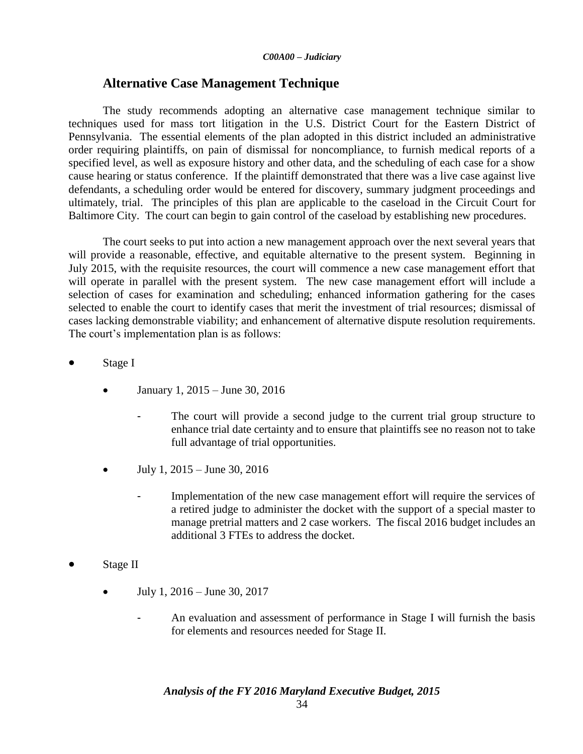### **Alternative Case Management Technique**

The study recommends adopting an alternative case management technique similar to techniques used for mass tort litigation in the U.S. District Court for the Eastern District of Pennsylvania. The essential elements of the plan adopted in this district included an administrative order requiring plaintiffs, on pain of dismissal for noncompliance, to furnish medical reports of a specified level, as well as exposure history and other data, and the scheduling of each case for a show cause hearing or status conference. If the plaintiff demonstrated that there was a live case against live defendants, a scheduling order would be entered for discovery, summary judgment proceedings and ultimately, trial. The principles of this plan are applicable to the caseload in the Circuit Court for Baltimore City. The court can begin to gain control of the caseload by establishing new procedures.

The court seeks to put into action a new management approach over the next several years that will provide a reasonable, effective, and equitable alternative to the present system. Beginning in July 2015, with the requisite resources, the court will commence a new case management effort that will operate in parallel with the present system. The new case management effort will include a selection of cases for examination and scheduling; enhanced information gathering for the cases selected to enable the court to identify cases that merit the investment of trial resources; dismissal of cases lacking demonstrable viability; and enhancement of alternative dispute resolution requirements. The court's implementation plan is as follows:

- Stage I
	- $\bullet$  January 1, 2015 June 30, 2016
		- The court will provide a second judge to the current trial group structure to enhance trial date certainty and to ensure that plaintiffs see no reason not to take full advantage of trial opportunities.
	- July 1, 2015 June 30, 2016
		- Implementation of the new case management effort will require the services of a retired judge to administer the docket with the support of a special master to manage pretrial matters and 2 case workers. The fiscal 2016 budget includes an additional 3 FTEs to address the docket.
- Stage II
	- $\bullet$  July 1, 2016 June 30, 2017
		- An evaluation and assessment of performance in Stage I will furnish the basis for elements and resources needed for Stage II.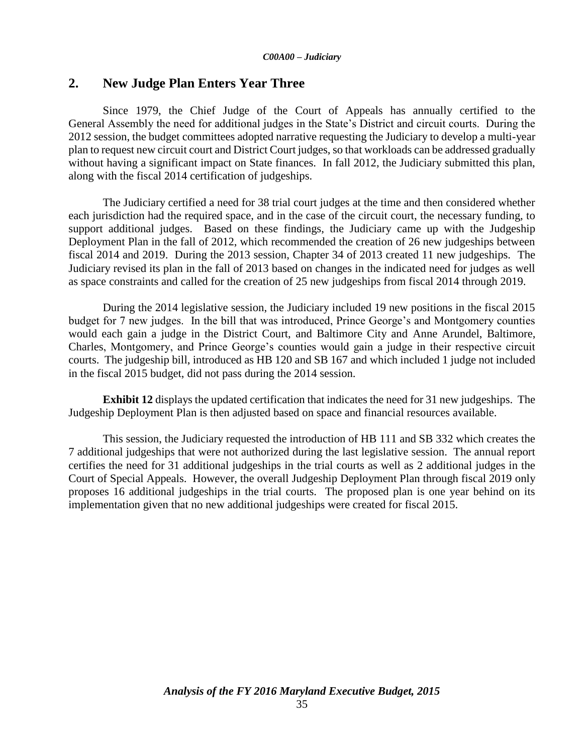### **2. New Judge Plan Enters Year Three**

Since 1979, the Chief Judge of the Court of Appeals has annually certified to the General Assembly the need for additional judges in the State's District and circuit courts. During the 2012 session, the budget committees adopted narrative requesting the Judiciary to develop a multi-year plan to request new circuit court and District Court judges, so that workloads can be addressed gradually without having a significant impact on State finances. In fall 2012, the Judiciary submitted this plan, along with the fiscal 2014 certification of judgeships.

The Judiciary certified a need for 38 trial court judges at the time and then considered whether each jurisdiction had the required space, and in the case of the circuit court, the necessary funding, to support additional judges. Based on these findings, the Judiciary came up with the Judgeship Deployment Plan in the fall of 2012, which recommended the creation of 26 new judgeships between fiscal 2014 and 2019. During the 2013 session, Chapter 34 of 2013 created 11 new judgeships. The Judiciary revised its plan in the fall of 2013 based on changes in the indicated need for judges as well as space constraints and called for the creation of 25 new judgeships from fiscal 2014 through 2019.

During the 2014 legislative session, the Judiciary included 19 new positions in the fiscal 2015 budget for 7 new judges. In the bill that was introduced, Prince George's and Montgomery counties would each gain a judge in the District Court, and Baltimore City and Anne Arundel, Baltimore, Charles, Montgomery, and Prince George's counties would gain a judge in their respective circuit courts. The judgeship bill, introduced as HB 120 and SB 167 and which included 1 judge not included in the fiscal 2015 budget, did not pass during the 2014 session.

**Exhibit 12** displays the updated certification that indicates the need for 31 new judgeships. The Judgeship Deployment Plan is then adjusted based on space and financial resources available.

This session, the Judiciary requested the introduction of HB 111 and SB 332 which creates the 7 additional judgeships that were not authorized during the last legislative session. The annual report certifies the need for 31 additional judgeships in the trial courts as well as 2 additional judges in the Court of Special Appeals. However, the overall Judgeship Deployment Plan through fiscal 2019 only proposes 16 additional judgeships in the trial courts. The proposed plan is one year behind on its implementation given that no new additional judgeships were created for fiscal 2015.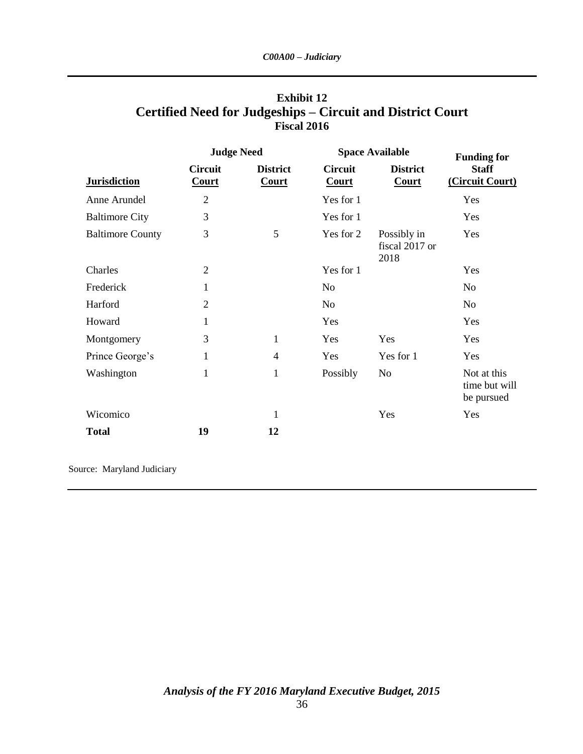|                         | <b>Judge Need</b>              |                                 | <b>Space Available</b>         |                                       | <b>Funding for</b>                         |  |
|-------------------------|--------------------------------|---------------------------------|--------------------------------|---------------------------------------|--------------------------------------------|--|
| <b>Jurisdiction</b>     | <b>Circuit</b><br><b>Court</b> | <b>District</b><br><b>Court</b> | <b>Circuit</b><br><b>Court</b> | <b>District</b><br>Court              | <b>Staff</b><br>(Circuit Court)            |  |
| Anne Arundel            | $\mathbf{2}$                   |                                 | Yes for 1                      |                                       | Yes                                        |  |
| <b>Baltimore City</b>   | 3                              |                                 | Yes for 1                      |                                       | Yes                                        |  |
| <b>Baltimore County</b> | 3                              | 5                               | Yes for 2                      | Possibly in<br>fiscal 2017 or<br>2018 | Yes                                        |  |
| Charles                 | $\overline{2}$                 |                                 | Yes for 1                      |                                       | Yes                                        |  |
| Frederick               | 1                              |                                 | N <sub>o</sub>                 |                                       | N <sub>o</sub>                             |  |
| Harford                 | $\overline{2}$                 |                                 | N <sub>0</sub>                 |                                       | N <sub>o</sub>                             |  |
| Howard                  | 1                              |                                 | Yes                            |                                       | Yes                                        |  |
| Montgomery              | 3                              | $\mathbf{1}$                    | Yes                            | Yes                                   | Yes                                        |  |
| Prince George's         | 1                              | 4                               | Yes                            | Yes for 1                             | Yes                                        |  |
| Washington              | 1                              | $\mathbf{1}$                    | Possibly                       | N <sub>o</sub>                        | Not at this<br>time but will<br>be pursued |  |
| Wicomico                |                                | 1                               |                                | Yes                                   | Yes                                        |  |
| <b>Total</b>            | 19                             | 12                              |                                |                                       |                                            |  |

# **Exhibit 12 Certified Need for Judgeships – Circuit and District Court Fiscal 2016**

Source: Maryland Judiciary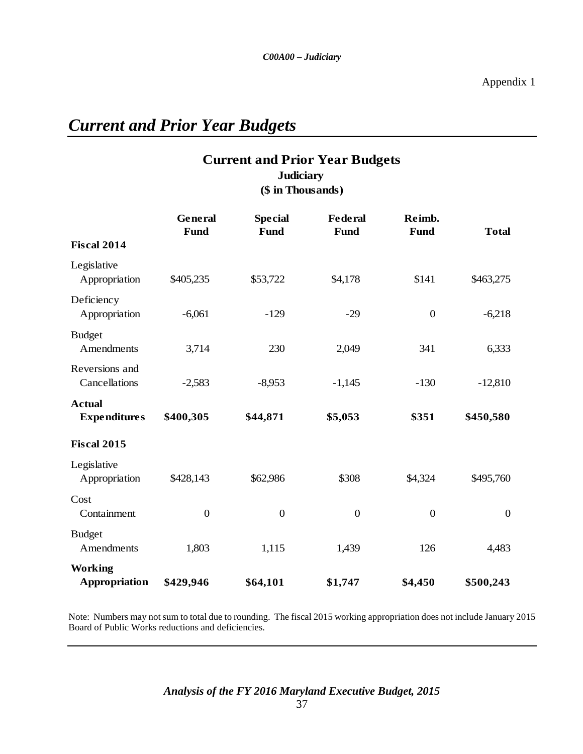# *Current and Prior Year Budgets*

# **Current and Prior Year Budgets (\$ in Thousands) Judiciary**

|                                      | General<br><b>Fund</b> | <b>Special</b><br><b>Fund</b> | <b>Federal</b><br><b>Fund</b> | Reimb.<br><b>Fund</b> | <b>Total</b>   |
|--------------------------------------|------------------------|-------------------------------|-------------------------------|-----------------------|----------------|
| <b>Fiscal 2014</b>                   |                        |                               |                               |                       |                |
| Legislative<br>Appropriation         | \$405,235              | \$53,722                      | \$4,178                       | \$141                 | \$463,275      |
| Deficiency<br>Appropriation          | $-6,061$               | $-129$                        | $-29$                         | $\mathbf{0}$          | $-6,218$       |
| <b>Budget</b><br>Amendments          | 3,714                  | 230                           | 2,049                         | 341                   | 6,333          |
| Reversions and<br>Cancellations      | $-2,583$               | $-8,953$                      | $-1,145$                      | $-130$                | $-12,810$      |
| <b>Actual</b><br><b>Expenditures</b> | \$400,305              | \$44,871                      | \$5,053                       | \$351                 | \$450,580      |
| <b>Fiscal 2015</b>                   |                        |                               |                               |                       |                |
| Legislative<br>Appropriation         | \$428,143              | \$62,986                      | \$308                         | \$4,324               | \$495,760      |
| Cost<br>Containment                  | $\boldsymbol{0}$       | $\overline{0}$                | $\boldsymbol{0}$              | $\boldsymbol{0}$      | $\overline{0}$ |
| <b>Budget</b><br>Amendments          | 1,803                  | 1,115                         | 1,439                         | 126                   | 4,483          |
| <b>Working</b><br>Appropriation      | \$429,946              | \$64,101                      | \$1,747                       | \$4,450               | \$500,243      |

Note: Numbers may not sum to total due to rounding. The fiscal 2015 working appropriation does not include January 2015 Board of Public Works reductions and deficiencies.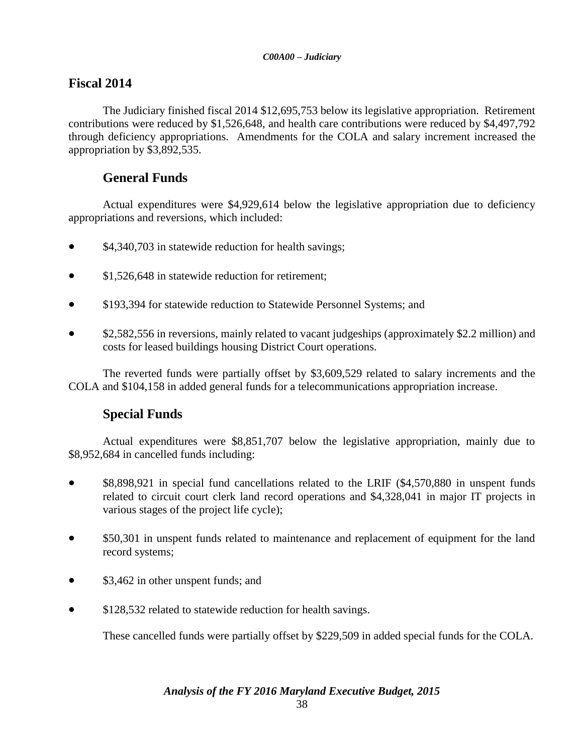# **Fiscal 2014**

The Judiciary finished fiscal 2014 \$12,695,753 below its legislative appropriation. Retirement contributions were reduced by \$1,526,648, and health care contributions were reduced by \$4,497,792 through deficiency appropriations. Amendments for the COLA and salary increment increased the appropriation by \$3,892,535.

# **General Funds**

Actual expenditures were \$4,929,614 below the legislative appropriation due to deficiency appropriations and reversions, which included:

- \$4,340,703 in statewide reduction for health savings;
- \$1,526,648 in statewide reduction for retirement;
- \$193,394 for statewide reduction to Statewide Personnel Systems; and
- \$2,582,556 in reversions, mainly related to vacant judgeships (approximately \$2.2 million) and costs for leased buildings housing District Court operations.

The reverted funds were partially offset by \$3,609,529 related to salary increments and the COLA and \$104,158 in added general funds for a telecommunications appropriation increase.

## **Special Funds**

Actual expenditures were \$8,851,707 below the legislative appropriation, mainly due to \$8,952,684 in cancelled funds including:

- \$8,898,921 in special fund cancellations related to the LRIF (\$4,570,880 in unspent funds related to circuit court clerk land record operations and \$4,328,041 in major IT projects in various stages of the project life cycle);
- \$50,301 in unspent funds related to maintenance and replacement of equipment for the land record systems;
- \$3,462 in other unspent funds; and
- \$128,532 related to statewide reduction for health savings.

These cancelled funds were partially offset by \$229,509 in added special funds for the COLA.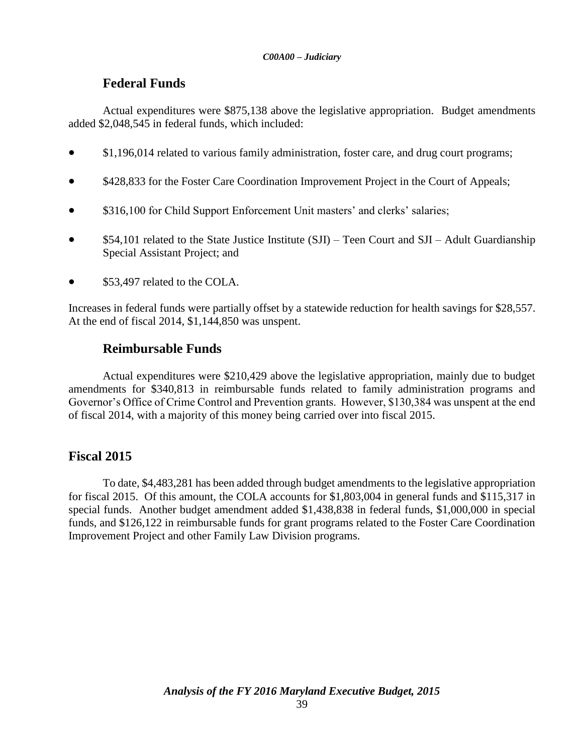## **Federal Funds**

Actual expenditures were \$875,138 above the legislative appropriation. Budget amendments added \$2,048,545 in federal funds, which included:

- \$1,196,014 related to various family administration, foster care, and drug court programs;
- \$428,833 for the Foster Care Coordination Improvement Project in the Court of Appeals;
- \$316,100 for Child Support Enforcement Unit masters' and clerks' salaries;
- \$54,101 related to the State Justice Institute (SJI) Teen Court and SJI Adult Guardianship Special Assistant Project; and
- \$53,497 related to the COLA.

Increases in federal funds were partially offset by a statewide reduction for health savings for \$28,557. At the end of fiscal 2014, \$1,144,850 was unspent.

## **Reimbursable Funds**

Actual expenditures were \$210,429 above the legislative appropriation, mainly due to budget amendments for \$340,813 in reimbursable funds related to family administration programs and Governor's Office of Crime Control and Prevention grants. However, \$130,384 was unspent at the end of fiscal 2014, with a majority of this money being carried over into fiscal 2015.

## **Fiscal 2015**

To date, \$4,483,281 has been added through budget amendments to the legislative appropriation for fiscal 2015. Of this amount, the COLA accounts for \$1,803,004 in general funds and \$115,317 in special funds. Another budget amendment added \$1,438,838 in federal funds, \$1,000,000 in special funds, and \$126,122 in reimbursable funds for grant programs related to the Foster Care Coordination Improvement Project and other Family Law Division programs.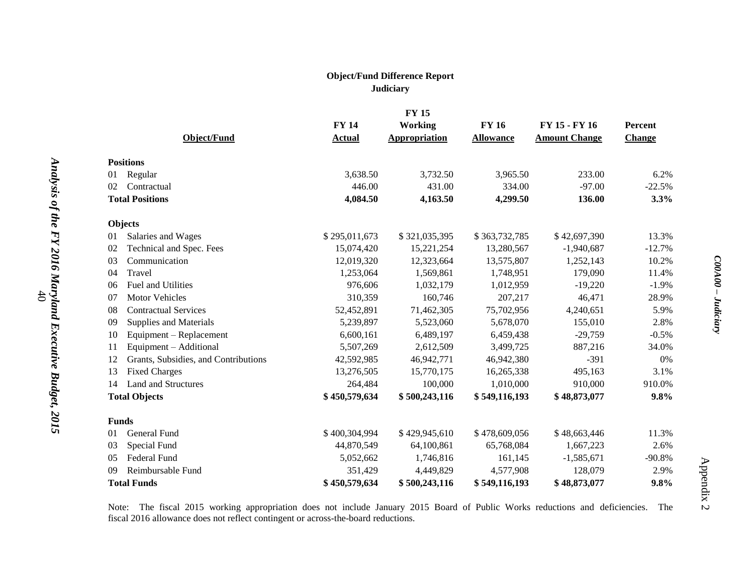#### **Object/Fund Difference Report Judiciary**

|                    | <b>FY15</b>                          |               |                      |                  |                      |                |
|--------------------|--------------------------------------|---------------|----------------------|------------------|----------------------|----------------|
|                    |                                      | <b>FY 14</b>  | <b>Working</b>       | <b>FY 16</b>     | FY 15 - FY 16        | <b>Percent</b> |
|                    | Object/Fund                          | <b>Actual</b> | <b>Appropriation</b> | <b>Allowance</b> | <b>Amount Change</b> | <b>Change</b>  |
|                    | <b>Positions</b>                     |               |                      |                  |                      |                |
| 01                 | Regular                              | 3,638.50      | 3,732.50             | 3,965.50         | 233.00               | 6.2%           |
| 02                 | Contractual                          | 446.00        | 431.00               | 334.00           | $-97.00$             | $-22.5%$       |
|                    | <b>Total Positions</b>               | 4,084.50      | 4,163.50             | 4,299.50         | 136.00               | 3.3%           |
|                    | Objects                              |               |                      |                  |                      |                |
| 01                 | Salaries and Wages                   | \$295,011,673 | \$321,035,395        | \$363,732,785    | \$42,697,390         | 13.3%          |
| 02                 | Technical and Spec. Fees             | 15,074,420    | 15,221,254           | 13,280,567       | $-1,940,687$         | $-12.7%$       |
| 03                 | Communication                        | 12,019,320    | 12,323,664           | 13,575,807       | 1,252,143            | 10.2%          |
| 04                 | Travel                               | 1,253,064     | 1,569,861            | 1,748,951        | 179,090              | 11.4%          |
| 06                 | Fuel and Utilities                   | 976,606       | 1,032,179            | 1,012,959        | $-19,220$            | $-1.9%$        |
| 07                 | <b>Motor Vehicles</b>                | 310,359       | 160,746              | 207,217          | 46,471               | 28.9%          |
| 08                 | <b>Contractual Services</b>          | 52,452,891    | 71,462,305           | 75,702,956       | 4,240,651            | 5.9%           |
| 09                 | Supplies and Materials               | 5,239,897     | 5,523,060            | 5,678,070        | 155,010              | 2.8%           |
| 10                 | Equipment - Replacement              | 6,600,161     | 6,489,197            | 6,459,438        | $-29,759$            | $-0.5%$        |
| 11                 | Equipment - Additional               | 5,507,269     | 2,612,509            | 3,499,725        | 887,216              | 34.0%          |
| 12                 | Grants, Subsidies, and Contributions | 42,592,985    | 46,942,771           | 46,942,380       | $-391$               | 0%             |
| 13                 | <b>Fixed Charges</b>                 | 13,276,505    | 15,770,175           | 16,265,338       | 495,163              | 3.1%           |
| 14                 | <b>Land and Structures</b>           | 264,484       | 100,000              | 1,010,000        | 910,000              | 910.0%         |
|                    | <b>Total Objects</b>                 | \$450,579,634 | \$500,243,116        | \$549,116,193    | \$48,873,077         | 9.8%           |
|                    | <b>Funds</b>                         |               |                      |                  |                      |                |
| 01                 | General Fund                         | \$400,304,994 | \$429,945,610        | \$478,609,056    | \$48,663,446         | 11.3%          |
| 03                 | Special Fund                         | 44,870,549    | 64,100,861           | 65,768,084       | 1,667,223            | 2.6%           |
| 05                 | Federal Fund                         | 5,052,662     | 1,746,816            | 161,145          | $-1,585,671$         | $-90.8%$       |
| 09                 | Reimbursable Fund                    | 351,429       | 4,449,829            | 4,577,908        | 128,079              | 2.9%           |
| <b>Total Funds</b> |                                      | \$450,579,634 | \$500,243,116        | \$549,116,193    | \$48,873,077         | 9.8%           |

Note: The fiscal 2015 working appropriation does not include January 2015 Board of Public Works reductions and deficiencies. The fiscal 2016 allowance does not reflect contingent or across-the-board reductions.